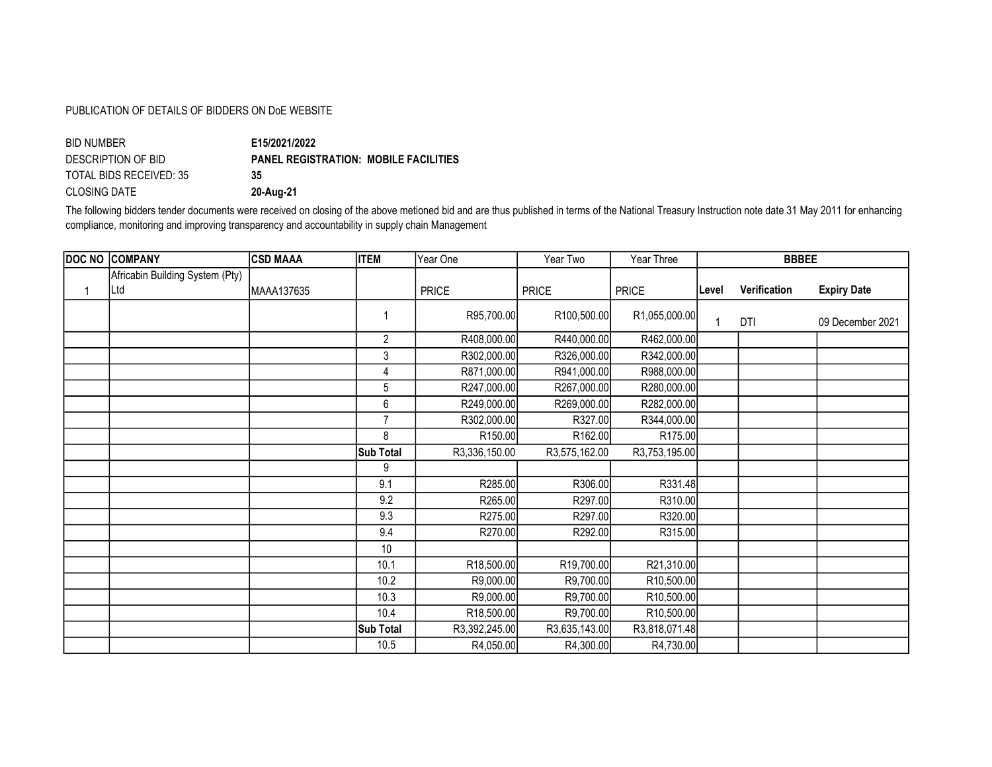## PUBLICATION OF DETAILS OF BIDDERS ON DoE WEBSITE

| E15/2021/2022                                |
|----------------------------------------------|
| <b>PANEL REGISTRATION: MOBILE FACILITIES</b> |
| 35                                           |
| 20-Aug-21                                    |
|                                              |

The following bidders tender documents were received on closing of the above metioned bid and are thus published in terms of the National Treasury Instruction note date 31 May 2011 for enhancing compliance, monitoring and improving transparency and accountability in supply chain Management

| <b>DOC NO COMPANY</b>           | <b>CSD MAAA</b> | <b>ITEM</b>      | Year One            | Year Two      | Year Three          |       | <b>BBBEE</b> |                    |
|---------------------------------|-----------------|------------------|---------------------|---------------|---------------------|-------|--------------|--------------------|
| Africabin Building System (Pty) |                 |                  |                     |               |                     |       |              |                    |
| Ltd                             | MAAA137635      |                  | <b>PRICE</b>        | <b>PRICE</b>  | <b>PRICE</b>        | Level | Verification | <b>Expiry Date</b> |
|                                 |                 | 1                | R95,700.00          | R100,500.00   | R1,055,000.00       | 1     | DTI          | 09 December 2021   |
|                                 |                 | $\overline{2}$   | R408,000.00         | R440,000.00   | R462,000.00         |       |              |                    |
|                                 |                 | 3                | R302,000.00         | R326,000.00   | R342,000.00         |       |              |                    |
|                                 |                 | 4                | R871,000.00         | R941,000.00   | R988,000.00         |       |              |                    |
|                                 |                 | 5                | R247,000.00         | R267,000.00   | R280,000.00         |       |              |                    |
|                                 |                 | 6                | R249,000.00         | R269,000.00   | R282,000.00         |       |              |                    |
|                                 |                 | $\overline{7}$   | R302,000.00         | R327.00       | R344,000.00         |       |              |                    |
|                                 |                 | 8                | R <sub>150.00</sub> | R162.00       | R <sub>175.00</sub> |       |              |                    |
|                                 |                 | <b>Sub Total</b> | R3,336,150.00       | R3,575,162.00 | R3,753,195.00       |       |              |                    |
|                                 |                 | 9                |                     |               |                     |       |              |                    |
|                                 |                 | 9.1              | R285.00             | R306.00       | R331.48             |       |              |                    |
|                                 |                 | 9.2              | R265.00             | R297.00       | R310.00             |       |              |                    |
|                                 |                 | 9.3              | R275.00             | R297.00       | R320.00             |       |              |                    |
|                                 |                 | 9.4              | R270.00             | R292.00       | R315.00             |       |              |                    |
|                                 |                 | 10               |                     |               |                     |       |              |                    |
|                                 |                 | 10.1             | R18,500.00          | R19,700.00    | R21,310.00          |       |              |                    |
|                                 |                 | 10.2             | R9,000.00           | R9,700.00     | R10,500.00          |       |              |                    |
|                                 |                 | 10.3             | R9,000.00           | R9,700.00     | R10,500.00          |       |              |                    |
|                                 |                 | 10.4             | R18,500.00          | R9,700.00     | R10,500.00          |       |              |                    |
|                                 |                 | <b>Sub Total</b> | R3,392,245.00       | R3,635,143.00 | R3,818,071.48       |       |              |                    |
|                                 |                 | 10.5             | R4,050.00           | R4,300.00     | R4,730.00           |       |              |                    |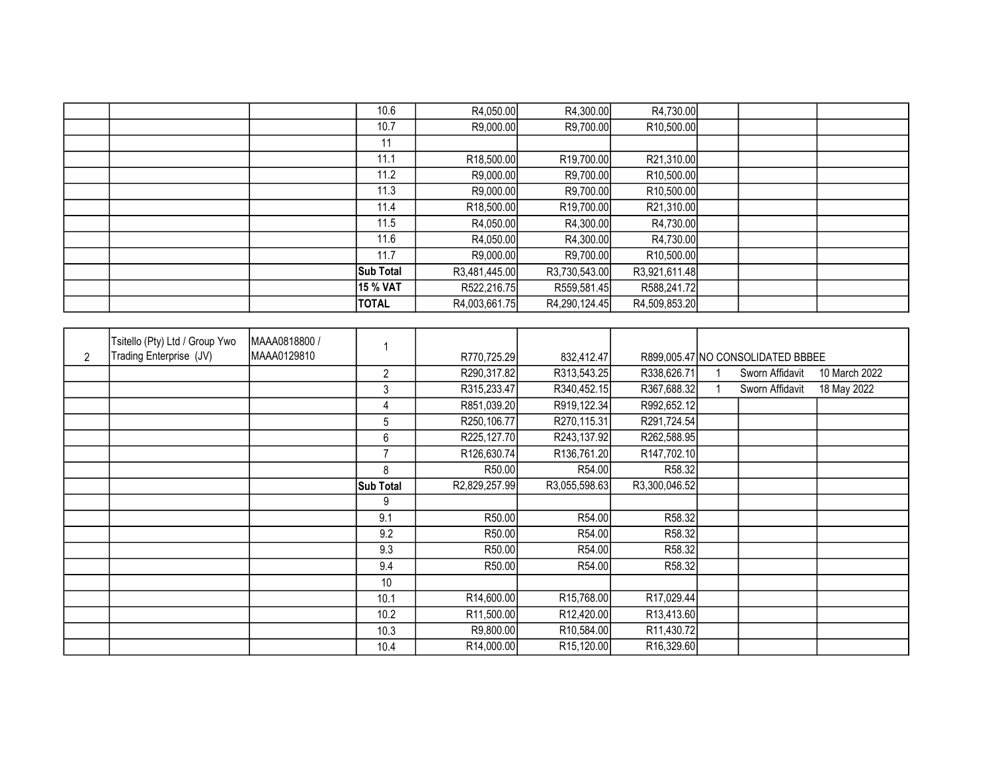|  | 10.6             | R4,050.00               | R4,300.00               | R4,730.00               |  |  |
|--|------------------|-------------------------|-------------------------|-------------------------|--|--|
|  | 10.7             | R9,000.00               | R9,700.00               | R <sub>10</sub> ,500.00 |  |  |
|  | 11               |                         |                         |                         |  |  |
|  | 11.1             | R <sub>18</sub> ,500.00 | R <sub>19</sub> ,700.00 | R21,310.00              |  |  |
|  | 11.2             | R9,000.00               | R9,700.00               | R <sub>10</sub> ,500.00 |  |  |
|  | 11.3             | R9,000.00               | R9,700.00               | R <sub>10</sub> ,500.00 |  |  |
|  | 11.4             | R18,500.00              | R <sub>19</sub> ,700.00 | R21,310.00              |  |  |
|  | 11.5             | R4,050.00               | R4,300.00               | R4,730.00               |  |  |
|  | 11.6             | R4,050.00               | R4,300.00               | R4,730.00               |  |  |
|  | 11.7             | R9,000.00               | R9,700.00               | R <sub>10</sub> ,500.00 |  |  |
|  | <b>Sub Total</b> | R3,481,445.00           | R3,730,543.00           | R3,921,611.48           |  |  |
|  | 15 % VAT         | R522,216.75             | R559,581.45             | R588,241.72             |  |  |
|  | <b>TOTAL</b>     | R4,003,661.75           | R4,290,124.45           | R4,509,853.20           |  |  |

| 2 | Tsitello (Pty) Ltd / Group Ywo<br>Trading Enterprise (JV) | MAAA0818800 /<br>MAAA0129810 |                  | R770,725.29   | 832,412.47              |                          | R899,005.47 NO CONSOLIDATED BBBEE |               |
|---|-----------------------------------------------------------|------------------------------|------------------|---------------|-------------------------|--------------------------|-----------------------------------|---------------|
|   |                                                           |                              | 2                | R290,317.82   | R313,543.25             | R338,626.71              | Sworn Affidavit                   | 10 March 2022 |
|   |                                                           |                              | 3                | R315,233.47   | R340,452.15             | R367,688.32              | Sworn Affidavit                   | 18 May 2022   |
|   |                                                           |                              | 4                | R851,039.20   | R919,122.34             | R992,652.12              |                                   |               |
|   |                                                           |                              | 5                | R250,106.77   | R270,115.31             | R291,724.54              |                                   |               |
|   |                                                           |                              | 6                | R225,127.70   | R243,137.92             | R262,588.95              |                                   |               |
|   |                                                           |                              | 7                | R126,630.74   | R136,761.20             | R147,702.10              |                                   |               |
|   |                                                           |                              | 8                | R50.00        | R54.00                  | R58.32                   |                                   |               |
|   |                                                           |                              | <b>Sub Total</b> | R2,829,257.99 | R3,055,598.63           | R3,300,046.52            |                                   |               |
|   |                                                           |                              | 9                |               |                         |                          |                                   |               |
|   |                                                           |                              | 9.1              | R50.00        | R54.00                  | R58.32                   |                                   |               |
|   |                                                           |                              | 9.2              | R50.00        | R54.00                  | R58.32                   |                                   |               |
|   |                                                           |                              | 9.3              | R50.00        | R54.00                  | R58.32                   |                                   |               |
|   |                                                           |                              | 9.4              | R50.00        | R54.00                  | R58.32                   |                                   |               |
|   |                                                           |                              | 10               |               |                         |                          |                                   |               |
|   |                                                           |                              | 10.1             | R14,600.00    | R <sub>15</sub> ,768.00 | R <sub>17</sub> ,029.44  |                                   |               |
|   |                                                           |                              | 10.2             | R11,500.00    | R12,420.00              | R13,413.60               |                                   |               |
|   |                                                           |                              | 10.3             | R9,800.00     | R <sub>10</sub> ,584.00 | R11,430.72               |                                   |               |
|   |                                                           |                              | 10.4             | R14,000.00    | R <sub>15</sub> ,120.00 | R <sub>16</sub> , 329.60 |                                   |               |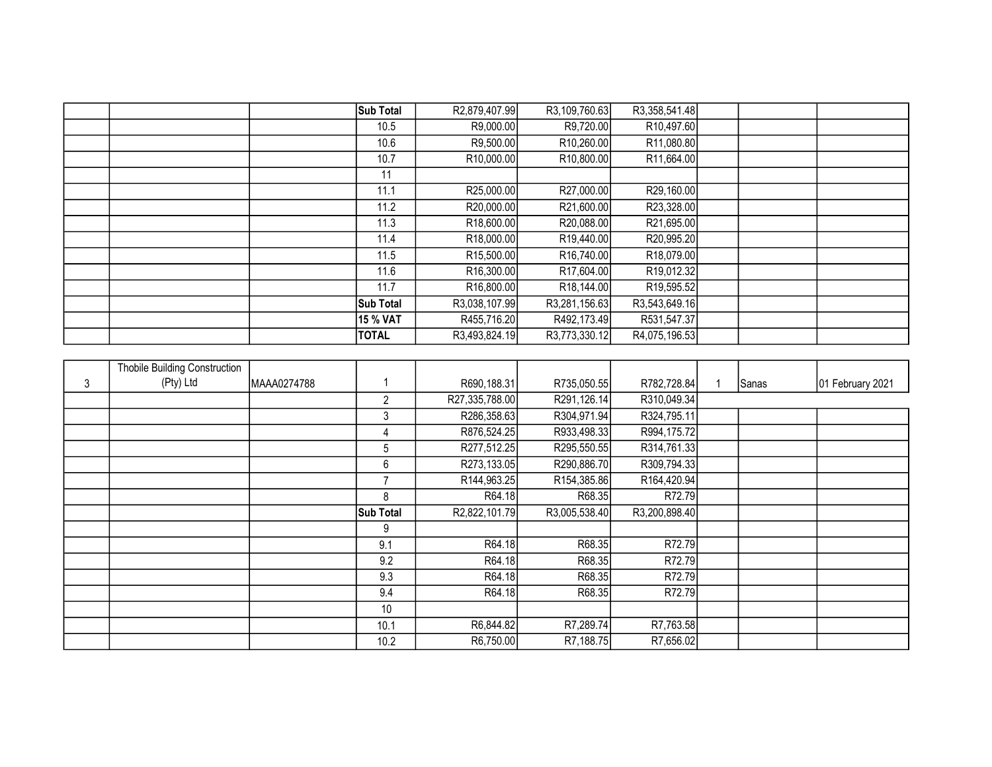|  | <b>Sub Total</b> | R2,879,407.99           | R3,109,760.63            | R3,358,541.48           |  |  |
|--|------------------|-------------------------|--------------------------|-------------------------|--|--|
|  | 10.5             | R9,000.00               | R9,720.00                | R <sub>10</sub> ,497.60 |  |  |
|  | 10.6             | R9,500.00               | R <sub>10</sub> ,260.00  | R <sub>11</sub> ,080.80 |  |  |
|  | 10.7             | R <sub>10</sub> ,000.00 | R <sub>10</sub> ,800.00  | R <sub>11</sub> ,664.00 |  |  |
|  | 11               |                         |                          |                         |  |  |
|  | 11.1             | R25,000.00              | R27,000.00               | R29,160.00              |  |  |
|  | 11.2             | R20,000.00              | R21,600.00               | R23,328.00              |  |  |
|  | 11.3             | R <sub>18</sub> ,600.00 | R20,088.00               | R21,695.00              |  |  |
|  | 11.4             | R18,000.00              | R <sub>19</sub> ,440.00  | R20,995.20              |  |  |
|  | 11.5             | R <sub>15</sub> ,500.00 | R <sub>16</sub> ,740.00  | R <sub>18</sub> ,079.00 |  |  |
|  | 11.6             | R16,300.00              | R <sub>17</sub> ,604.00  | R <sub>19</sub> ,012.32 |  |  |
|  | 11.7             | R <sub>16</sub> ,800.00 | R <sub>18</sub> , 144.00 | R <sub>19</sub> ,595.52 |  |  |
|  | <b>Sub Total</b> | R3,038,107.99           | R3,281,156.63            | R3,543,649.16           |  |  |
|  | 15 % VAT         | R455,716.20             | R492,173.49              | R531,547.37             |  |  |
|  | <b>TOTAL</b>     | R3,493,824.19           | R3,773,330.12            | R4,075,196.53           |  |  |

|   | <b>Thobile Building Construction</b> |             |                  |                |                           |               |       |                  |
|---|--------------------------------------|-------------|------------------|----------------|---------------------------|---------------|-------|------------------|
| 3 | (Pty) Ltd                            | MAAA0274788 |                  | R690,188.31    | R735,050.55               | R782,728.84   | Sanas | 01 February 2021 |
|   |                                      |             | 2                | R27,335,788.00 | R291,126.14               | R310,049.34   |       |                  |
|   |                                      |             | 3                | R286,358.63    | R304,971.94               | R324,795.11   |       |                  |
|   |                                      |             | 4                | R876,524.25    | R933,498.33               | R994,175.72   |       |                  |
|   |                                      |             | 5                | R277,512.25    | R295,550.55               | R314,761.33   |       |                  |
|   |                                      |             | 6                | R273,133.05    | R290,886.70               | R309,794.33   |       |                  |
|   |                                      |             | 7                | R144,963.25    | R <sub>154</sub> , 385.86 | R164,420.94   |       |                  |
|   |                                      |             | 8                | R64.18         | R68.35                    | R72.79        |       |                  |
|   |                                      |             | <b>Sub Total</b> | R2,822,101.79  | R3,005,538.40             | R3,200,898.40 |       |                  |
|   |                                      |             | 9                |                |                           |               |       |                  |
|   |                                      |             | 9.1              | R64.18         | R68.35                    | R72.79        |       |                  |
|   |                                      |             | 9.2              | R64.18         | R68.35                    | R72.79        |       |                  |
|   |                                      |             | 9.3              | R64.18         | R68.35                    | R72.79        |       |                  |
|   |                                      |             | 9.4              | R64.18         | R68.35                    | R72.79        |       |                  |
|   |                                      |             | 10               |                |                           |               |       |                  |
|   |                                      |             | 10.1             | R6,844.82      | R7,289.74                 | R7,763.58     |       |                  |
|   |                                      |             | 10.2             | R6,750.00      | R7,188.75                 | R7,656.02     |       |                  |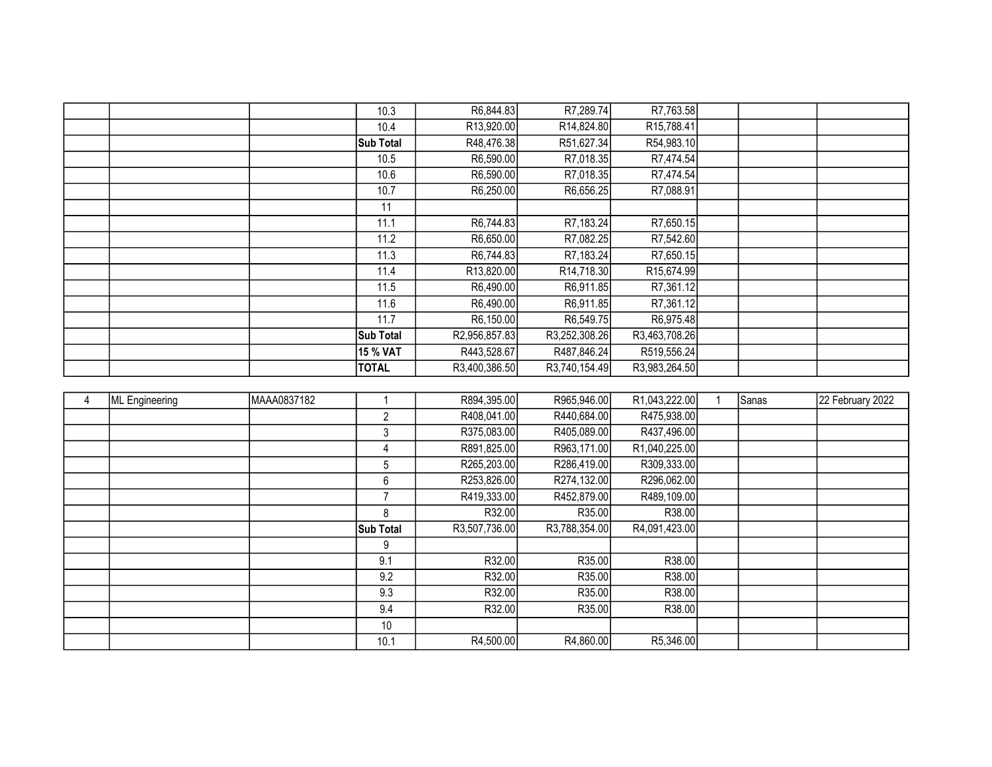|  | 10.3             | R6,844.83     | R7,289.74               | R7,763.58               |  |  |
|--|------------------|---------------|-------------------------|-------------------------|--|--|
|  | 10.4             | R13,920.00    | R14,824.80              | R15,788.41              |  |  |
|  | <b>Sub Total</b> | R48,476.38    | R51,627.34              | R54,983.10              |  |  |
|  | 10.5             | R6,590.00     | R7,018.35               | R7,474.54               |  |  |
|  | 10.6             | R6,590.00     | R7,018.35               | R7,474.54               |  |  |
|  | 10.7             | R6,250.00     | R6,656.25               | R7,088.91               |  |  |
|  | 11               |               |                         |                         |  |  |
|  | 11.1             | R6,744.83     | R7,183.24               | R7,650.15               |  |  |
|  | 11.2             | R6,650.00     | R7,082.25               | R7,542.60               |  |  |
|  | 11.3             | R6,744.83     | R7,183.24               | R7,650.15               |  |  |
|  | 11.4             | R13,820.00    | R <sub>14</sub> ,718.30 | R <sub>15</sub> ,674.99 |  |  |
|  | 11.5             | R6,490.00     | R6,911.85               | R7,361.12               |  |  |
|  | 11.6             | R6,490.00     | R6,911.85               | R7,361.12               |  |  |
|  | 11.7             | R6,150.00     | R6,549.75               | R6,975.48               |  |  |
|  | Sub Total        | R2,956,857.83 | R3,252,308.26           | R3,463,708.26           |  |  |
|  | 15 % VAT         | R443,528.67   | R487,846.24             | R519,556.24             |  |  |
|  | <b>TOTAL</b>     | R3,400,386.50 | R3,740,154.49           | R3,983,264.50           |  |  |

| ML Engineering | MAAA0837182 |                  | R894,395.00   | R965,946.00   | R1,043,222.00              | Sanas | 22 February 2022 |
|----------------|-------------|------------------|---------------|---------------|----------------------------|-------|------------------|
|                |             | 2                | R408,041.00   | R440,684.00   | R475,938.00                |       |                  |
|                |             | 3                | R375,083.00   | R405,089.00   | R437,496.00                |       |                  |
|                |             | 4                | R891,825.00   | R963,171.00   | R <sub>1</sub> ,040,225.00 |       |                  |
|                |             | 5                | R265,203.00   | R286,419.00   | R309,333.00                |       |                  |
|                |             | 6                | R253,826.00   | R274,132.00   | R296,062.00                |       |                  |
|                |             |                  | R419,333.00   | R452,879.00   | R489,109.00                |       |                  |
|                |             | 8                | R32.00        | R35.00        | R38.00                     |       |                  |
|                |             | <b>Sub Total</b> | R3,507,736.00 | R3,788,354.00 | R4,091,423.00              |       |                  |
|                |             | 9                |               |               |                            |       |                  |
|                |             | 9.1              | R32.00        | R35.00        | R38.00                     |       |                  |
|                |             | 9.2              | R32.00        | R35.00        | R38.00                     |       |                  |
|                |             | 9.3              | R32.00        | R35.00        | R38.00                     |       |                  |
|                |             | 9.4              | R32.00        | R35.00        | R38.00                     |       |                  |
|                |             | 10               |               |               |                            |       |                  |
|                |             | 10.1             | R4,500.00     | R4,860.00     | R5,346.00                  |       |                  |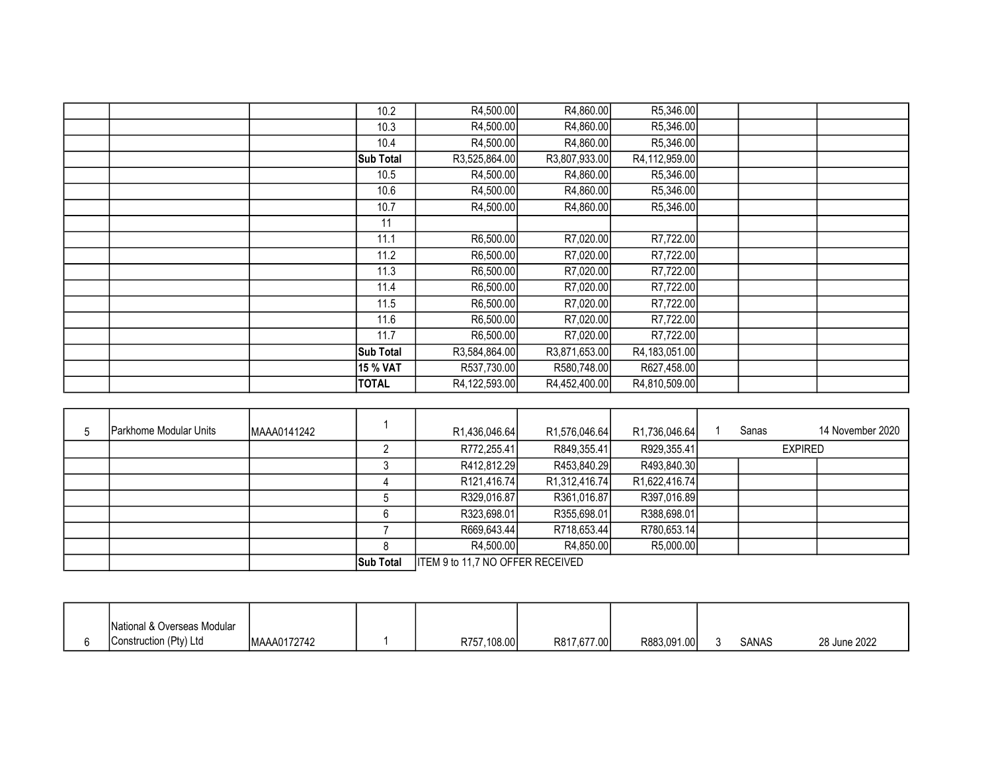|  | 10.2         | R4,500.00     | R4,860.00     | R5,346.00     |  |  |
|--|--------------|---------------|---------------|---------------|--|--|
|  | 10.3         | R4,500.00     | R4,860.00     | R5,346.00     |  |  |
|  | 10.4         | R4,500.00     | R4,860.00     | R5,346.00     |  |  |
|  | Sub Total    | R3,525,864.00 | R3,807,933.00 | R4,112,959.00 |  |  |
|  | 10.5         | R4,500.00     | R4,860.00     | R5,346.00     |  |  |
|  | 10.6         | R4,500.00     | R4,860.00     | R5,346.00     |  |  |
|  | 10.7         | R4,500.00     | R4,860.00     | R5,346.00     |  |  |
|  | 11           |               |               |               |  |  |
|  | 11.1         | R6,500.00     | R7,020.00     | R7,722.00     |  |  |
|  | 11.2         | R6,500.00     | R7,020.00     | R7,722.00     |  |  |
|  | 11.3         | R6,500.00     | R7,020.00     | R7,722.00     |  |  |
|  | 11.4         | R6,500.00     | R7,020.00     | R7,722.00     |  |  |
|  | 11.5         | R6,500.00     | R7,020.00     | R7,722.00     |  |  |
|  | 11.6         | R6,500.00     | R7,020.00     | R7,722.00     |  |  |
|  | 11.7         | R6,500.00     | R7,020.00     | R7,722.00     |  |  |
|  | Sub Total    | R3,584,864.00 | R3,871,653.00 | R4,183,051.00 |  |  |
|  | 15 % VAT     | R537,730.00   | R580,748.00   | R627,458.00   |  |  |
|  | <b>TOTAL</b> | R4,122,593.00 | R4,452,400.00 | R4,810,509.00 |  |  |
|  |              |               |               |               |  |  |

| 5 | Parkhome Modular Units | MAAA0141242 |                  | R1,436,046.64                    | R1,576,046.64              | R1,736,046.64              |  | Sanas          | 14 November 2020 |
|---|------------------------|-------------|------------------|----------------------------------|----------------------------|----------------------------|--|----------------|------------------|
|   |                        |             |                  | R772,255.41                      | R849,355.41                | R929,355.41                |  | <b>EXPIRED</b> |                  |
|   |                        |             |                  | R412,812.29                      | R453,840.29                | R493,840.30                |  |                |                  |
|   |                        |             |                  | R121,416.74                      | R <sub>1</sub> ,312,416.74 | R <sub>1</sub> ,622,416.74 |  |                |                  |
|   |                        |             |                  | R329,016.87                      | R361,016.87                | R397,016.89                |  |                |                  |
|   |                        |             |                  | R323,698.01                      | R355,698.01                | R388,698.01                |  |                |                  |
|   |                        |             |                  | R669,643.44                      | R718,653.44                | R780,653.14                |  |                |                  |
|   |                        |             |                  | R4,500.00                        | R4,850.00                  | R5,000.00                  |  |                |                  |
|   |                        |             | <b>Sub Total</b> | ITEM 9 to 11,7 NO OFFER RECEIVED |                            |                            |  |                |                  |

|  | National & Overseas Modular |             |             |             |             |              |              |
|--|-----------------------------|-------------|-------------|-------------|-------------|--------------|--------------|
|  | Construction (Pty) Ltd      | MAAA0172742 | R757,108.00 | R817,677.00 | R883,091.00 | <b>SANAS</b> | 28 June 2022 |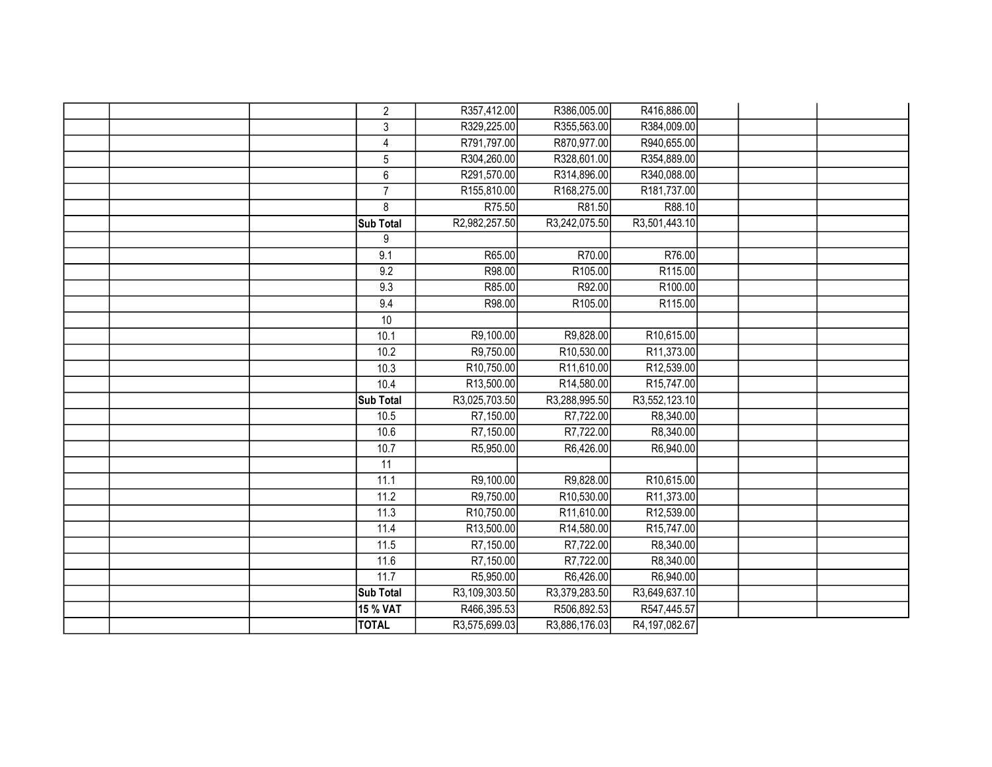|  | $\overline{2}$   | R357,412.00   | R386,005.00   | R416,886.00   |  |  |
|--|------------------|---------------|---------------|---------------|--|--|
|  | 3                | R329,225.00   | R355,563.00   | R384,009.00   |  |  |
|  | 4                | R791,797.00   | R870,977.00   | R940,655.00   |  |  |
|  | $\sqrt{5}$       | R304,260.00   | R328,601.00   | R354,889.00   |  |  |
|  | 6                | R291,570.00   | R314,896.00   | R340,088.00   |  |  |
|  | $\overline{7}$   | R155,810.00   | R168,275.00   | R181,737.00   |  |  |
|  | 8                | R75.50        | R81.50        | R88.10        |  |  |
|  | Sub Total        | R2,982,257.50 | R3,242,075.50 | R3,501,443.10 |  |  |
|  | 9                |               |               |               |  |  |
|  | 9.1              | R65.00        | R70.00        | R76.00        |  |  |
|  | 9.2              | R98.00        | R105.00       | R115.00       |  |  |
|  | 9.3              | R85.00        | R92.00        | R100.00       |  |  |
|  | 9.4              | R98.00        | R105.00       | R115.00       |  |  |
|  | 10               |               |               |               |  |  |
|  | 10.1             | R9,100.00     | R9,828.00     | R10,615.00    |  |  |
|  | 10.2             | R9,750.00     | R10,530.00    | R11,373.00    |  |  |
|  | 10.3             | R10,750.00    | R11,610.00    | R12,539.00    |  |  |
|  | 10.4             | R13,500.00    | R14,580.00    | R15,747.00    |  |  |
|  | Sub Total        | R3,025,703.50 | R3,288,995.50 | R3,552,123.10 |  |  |
|  | 10.5             | R7,150.00     | R7,722.00     | R8,340.00     |  |  |
|  | 10.6             | R7,150.00     | R7,722.00     | R8,340.00     |  |  |
|  | 10.7             | R5,950.00     | R6,426.00     | R6,940.00     |  |  |
|  | $\overline{11}$  |               |               |               |  |  |
|  | 11.1             | R9,100.00     | R9,828.00     | R10,615.00    |  |  |
|  | 11.2             | R9,750.00     | R10,530.00    | R11,373.00    |  |  |
|  | 11.3             | R10,750.00    | R11,610.00    | R12,539.00    |  |  |
|  | 11.4             | R13,500.00    | R14,580.00    | R15,747.00    |  |  |
|  | 11.5             | R7,150.00     | R7,722.00     | R8,340.00     |  |  |
|  | 11.6             | R7,150.00     | R7,722.00     | R8,340.00     |  |  |
|  | 11.7             | R5,950.00     | R6,426.00     | R6,940.00     |  |  |
|  | <b>Sub Total</b> | R3,109,303.50 | R3,379,283.50 | R3,649,637.10 |  |  |
|  | 15 % VAT         | R466,395.53   | R506,892.53   | R547,445.57   |  |  |
|  | <b>TOTAL</b>     | R3,575,699.03 | R3,886,176.03 | R4,197,082.67 |  |  |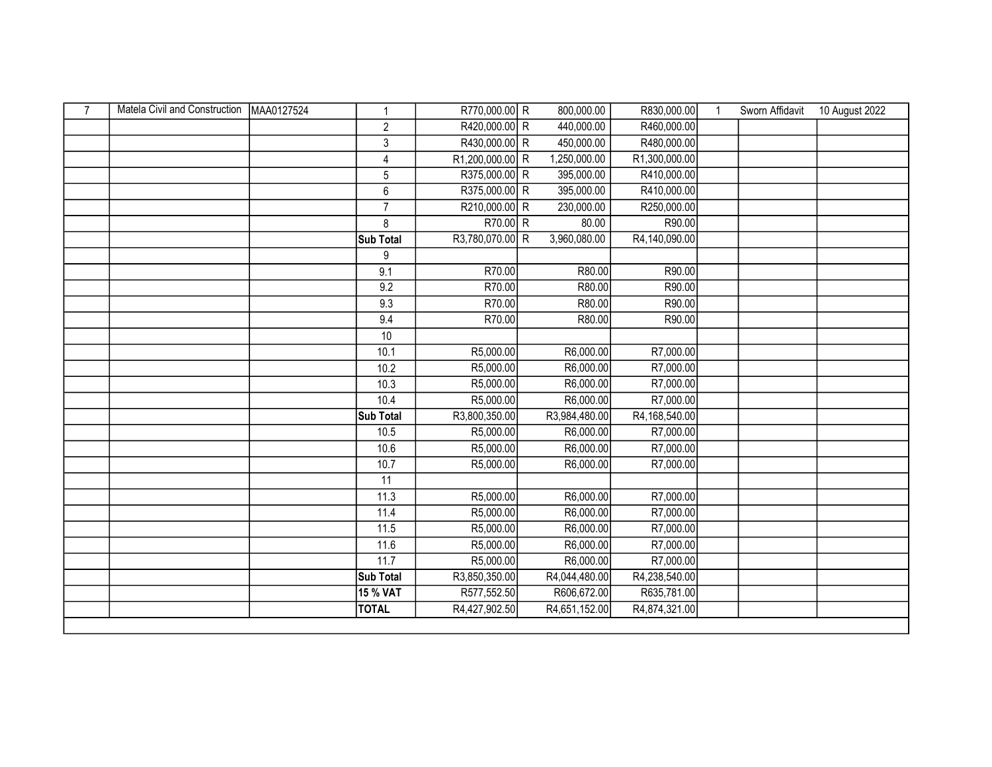| $\overline{7}$ | Matela Civil and Construction | MAA0127524 | 1                | R770,000.00 R   | 800,000.00    | R830,000.00   | 1 | Sworn Affidavit | 10 August 2022 |
|----------------|-------------------------------|------------|------------------|-----------------|---------------|---------------|---|-----------------|----------------|
|                |                               |            | 2                | R420,000.00 R   | 440,000.00    | R460,000.00   |   |                 |                |
|                |                               |            | 3                | R430,000.00 R   | 450,000.00    | R480,000.00   |   |                 |                |
|                |                               |            | $\overline{4}$   | R1,200,000.00 R | 1,250,000.00  | R1,300,000.00 |   |                 |                |
|                |                               |            | 5                | R375,000.00 R   | 395,000.00    | R410,000.00   |   |                 |                |
|                |                               |            | $\boldsymbol{6}$ | R375,000.00 R   | 395,000.00    | R410,000.00   |   |                 |                |
|                |                               |            | $\overline{7}$   | R210,000.00 R   | 230,000.00    | R250,000.00   |   |                 |                |
|                |                               |            | 8                | $R70.00$ R      | 80.00         | R90.00        |   |                 |                |
|                |                               |            | Sub Total        | R3,780,070.00 R | 3,960,080.00  | R4,140,090.00 |   |                 |                |
|                |                               |            | 9                |                 |               |               |   |                 |                |
|                |                               |            | 9.1              | R70.00          | R80.00        | R90.00        |   |                 |                |
|                |                               |            | 9.2              | R70.00          | R80.00        | R90.00        |   |                 |                |
|                |                               |            | 9.3              | R70.00          | R80.00        | R90.00        |   |                 |                |
|                |                               |            | 9.4              | R70.00          | R80.00        | R90.00        |   |                 |                |
|                |                               |            | $\overline{10}$  |                 |               |               |   |                 |                |
|                |                               |            | 10.1             | R5,000.00       | R6,000.00     | R7,000.00     |   |                 |                |
|                |                               |            | 10.2             | R5,000.00       | R6,000.00     | R7,000.00     |   |                 |                |
|                |                               |            | 10.3             | R5,000.00       | R6,000.00     | R7,000.00     |   |                 |                |
|                |                               |            | 10.4             | R5,000.00       | R6,000.00     | R7,000.00     |   |                 |                |
|                |                               |            | Sub Total        | R3,800,350.00   | R3,984,480.00 | R4,168,540.00 |   |                 |                |
|                |                               |            | 10.5             | R5,000.00       | R6,000.00     | R7,000.00     |   |                 |                |
|                |                               |            | 10.6             | R5,000.00       | R6,000.00     | R7,000.00     |   |                 |                |
|                |                               |            | 10.7             | R5,000.00       | R6,000.00     | R7,000.00     |   |                 |                |
|                |                               |            | 11               |                 |               |               |   |                 |                |
|                |                               |            | 11.3             | R5,000.00       | R6,000.00     | R7,000.00     |   |                 |                |
|                |                               |            | 11.4             | R5,000.00       | R6,000.00     | R7,000.00     |   |                 |                |
|                |                               |            | 11.5             | R5,000.00       | R6,000.00     | R7,000.00     |   |                 |                |
|                |                               |            | 11.6             | R5,000.00       | R6,000.00     | R7,000.00     |   |                 |                |
|                |                               |            | 11.7             | R5,000.00       | R6,000.00     | R7,000.00     |   |                 |                |
|                |                               |            | <b>Sub Total</b> | R3,850,350.00   | R4,044,480.00 | R4,238,540.00 |   |                 |                |
|                |                               |            | <b>15 % VAT</b>  | R577,552.50     | R606,672.00   | R635,781.00   |   |                 |                |
|                |                               |            | <b>TOTAL</b>     | R4,427,902.50   | R4,651,152.00 | R4,874,321.00 |   |                 |                |
|                |                               |            |                  |                 |               |               |   |                 |                |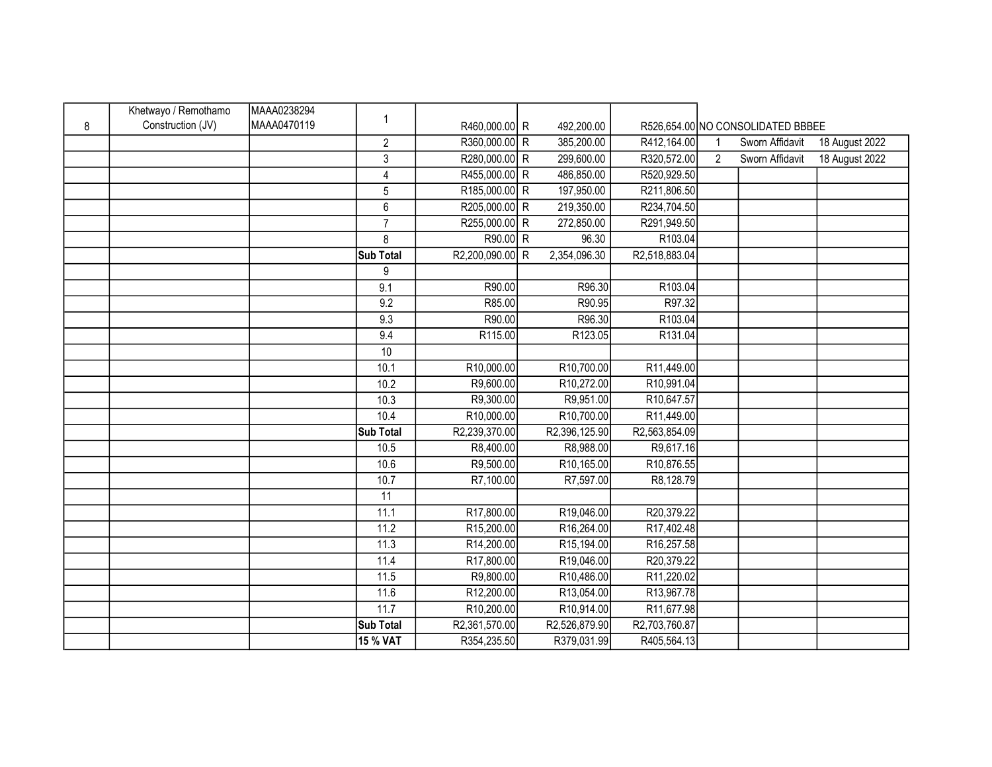|   | Khetwayo / Remothamo | MAAA0238294 |                  |                 |               |               |                |                                   |                |
|---|----------------------|-------------|------------------|-----------------|---------------|---------------|----------------|-----------------------------------|----------------|
| 8 | Construction (JV)    | MAAA0470119 | $\mathbf{1}$     | R460,000.00 R   | 492,200.00    |               |                | R526,654.00 NO CONSOLIDATED BBBEE |                |
|   |                      |             | $\overline{2}$   | R360,000.00 R   | 385,200.00    | R412,164.00   | 1              | Sworn Affidavit                   | 18 August 2022 |
|   |                      |             | 3                | R280,000.00 R   | 299,600.00    | R320,572.00   | $\overline{2}$ | Sworn Affidavit                   | 18 August 2022 |
|   |                      |             | $\overline{4}$   | R455,000.00 R   | 486,850.00    | R520,929.50   |                |                                   |                |
|   |                      |             | 5                | R185,000.00 R   | 197,950.00    | R211,806.50   |                |                                   |                |
|   |                      |             | $\boldsymbol{6}$ | R205,000.00 R   | 219,350.00    | R234,704.50   |                |                                   |                |
|   |                      |             | $\overline{7}$   | R255,000.00 R   | 272,850.00    | R291,949.50   |                |                                   |                |
|   |                      |             | 8                | R90.00 R        | 96.30         | R103.04       |                |                                   |                |
|   |                      |             | <b>Sub Total</b> | R2,200,090.00 R | 2,354,096.30  | R2,518,883.04 |                |                                   |                |
|   |                      |             | 9                |                 |               |               |                |                                   |                |
|   |                      |             | 9.1              | R90.00          | R96.30        | R103.04       |                |                                   |                |
|   |                      |             | 9.2              | R85.00          | R90.95        | R97.32        |                |                                   |                |
|   |                      |             | 9.3              | R90.00          | R96.30        | R103.04       |                |                                   |                |
|   |                      |             | 9.4              | R115.00         | R123.05       | R131.04       |                |                                   |                |
|   |                      |             | $10$             |                 |               |               |                |                                   |                |
|   |                      |             | 10.1             | R10,000.00      | R10,700.00    | R11,449.00    |                |                                   |                |
|   |                      |             | 10.2             | R9,600.00       | R10,272.00    | R10,991.04    |                |                                   |                |
|   |                      |             | 10.3             | R9,300.00       | R9,951.00     | R10,647.57    |                |                                   |                |
|   |                      |             | 10.4             | R10,000.00      | R10,700.00    | R11,449.00    |                |                                   |                |
|   |                      |             | <b>Sub Total</b> | R2,239,370.00   | R2,396,125.90 | R2,563,854.09 |                |                                   |                |
|   |                      |             | 10.5             | R8,400.00       | R8,988.00     | R9,617.16     |                |                                   |                |
|   |                      |             | 10.6             | R9,500.00       | R10,165.00    | R10,876.55    |                |                                   |                |
|   |                      |             | 10.7             | R7,100.00       | R7,597.00     | R8,128.79     |                |                                   |                |
|   |                      |             | 11               |                 |               |               |                |                                   |                |
|   |                      |             | 11.1             | R17,800.00      | R19,046.00    | R20,379.22    |                |                                   |                |
|   |                      |             | 11.2             | R15,200.00      | R16,264.00    | R17,402.48    |                |                                   |                |
|   |                      |             | 11.3             | R14,200.00      | R15,194.00    | R16,257.58    |                |                                   |                |
|   |                      |             | 11.4             | R17,800.00      | R19,046.00    | R20,379.22    |                |                                   |                |
|   |                      |             | 11.5             | R9,800.00       | R10,486.00    | R11,220.02    |                |                                   |                |
|   |                      |             | 11.6             | R12,200.00      | R13,054.00    | R13,967.78    |                |                                   |                |
|   |                      |             | 11.7             | R10,200.00      | R10,914.00    | R11,677.98    |                |                                   |                |
|   |                      |             | <b>Sub Total</b> | R2,361,570.00   | R2,526,879.90 | R2,703,760.87 |                |                                   |                |
|   |                      |             | 15 % VAT         | R354,235.50     | R379,031.99   | R405,564.13   |                |                                   |                |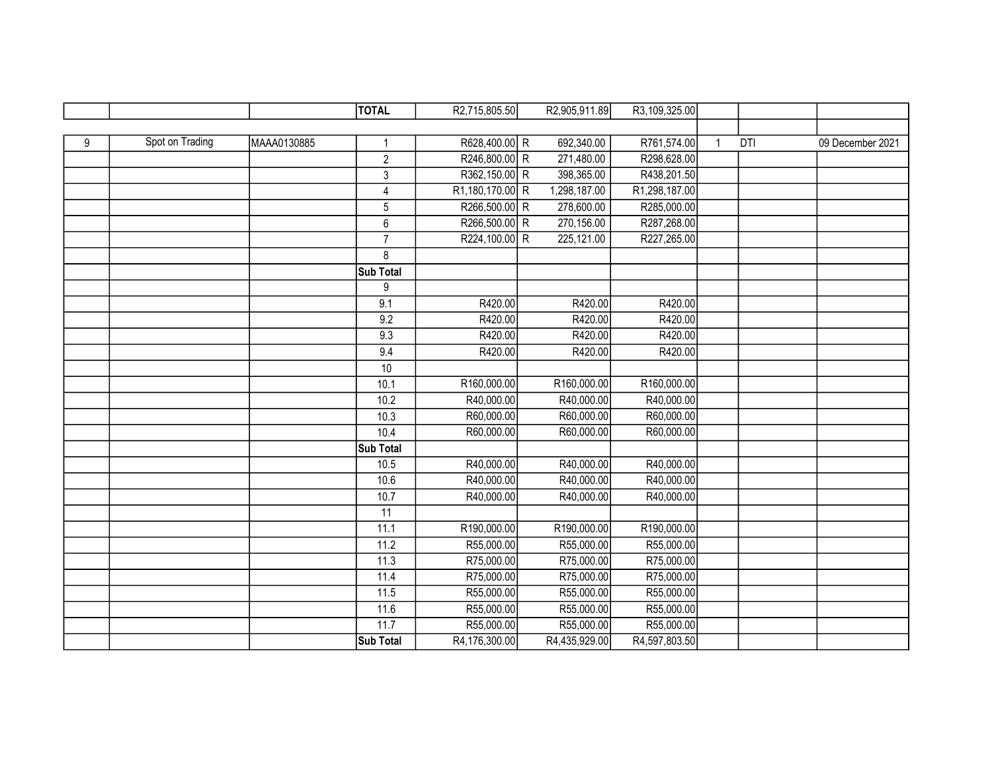|   |                 |             | <b>TOTAL</b>     | R2,715,805.50   | R2,905,911.89 | R3,109,325.00 |              |     |                  |
|---|-----------------|-------------|------------------|-----------------|---------------|---------------|--------------|-----|------------------|
|   |                 |             |                  |                 |               |               |              |     |                  |
| 9 | Spot on Trading | MAAA0130885 |                  | R628,400.00 R   | 692,340.00    | R761,574.00   | $\mathbf{1}$ | DTI | 09 December 2021 |
|   |                 |             | $\overline{2}$   | R246,800.00 R   | 271,480.00    | R298,628.00   |              |     |                  |
|   |                 |             | $\mathbf{3}$     | R362,150.00 R   | 398,365.00    | R438,201.50   |              |     |                  |
|   |                 |             | $\overline{4}$   | R1,180,170.00 R | 1,298,187.00  | R1,298,187.00 |              |     |                  |
|   |                 |             | $\sqrt{5}$       | R266,500.00 R   | 278,600.00    | R285,000.00   |              |     |                  |
|   |                 |             | $6\phantom{1}$   | R266,500.00 R   | 270,156.00    | R287,268.00   |              |     |                  |
|   |                 |             | $\overline{7}$   | R224,100.00 R   | 225,121.00    | R227,265.00   |              |     |                  |
|   |                 |             | 8                |                 |               |               |              |     |                  |
|   |                 |             | Sub Total        |                 |               |               |              |     |                  |
|   |                 |             | 9                |                 |               |               |              |     |                  |
|   |                 |             | 9.1              | R420.00         | R420.00       | R420.00       |              |     |                  |
|   |                 |             | 9.2              | R420.00         | R420.00       | R420.00       |              |     |                  |
|   |                 |             | 9.3              | R420.00         | R420.00       | R420.00       |              |     |                  |
|   |                 |             | 9.4              | R420.00         | R420.00       | R420.00       |              |     |                  |
|   |                 |             | $10$             |                 |               |               |              |     |                  |
|   |                 |             | 10.1             | R160,000.00     | R160,000.00   | R160,000.00   |              |     |                  |
|   |                 |             | 10.2             | R40,000.00      | R40,000.00    | R40,000.00    |              |     |                  |
|   |                 |             | 10.3             | R60,000.00      | R60,000.00    | R60,000.00    |              |     |                  |
|   |                 |             | 10.4             | R60,000.00      | R60,000.00    | R60,000.00    |              |     |                  |
|   |                 |             | Sub Total        |                 |               |               |              |     |                  |
|   |                 |             | 10.5             | R40,000.00      | R40,000.00    | R40,000.00    |              |     |                  |
|   |                 |             | 10.6             | R40,000.00      | R40,000.00    | R40,000.00    |              |     |                  |
|   |                 |             | 10.7             | R40,000.00      | R40,000.00    | R40,000.00    |              |     |                  |
|   |                 |             | $\overline{11}$  |                 |               |               |              |     |                  |
|   |                 |             | 11.1             | R190,000.00     | R190,000.00   | R190,000.00   |              |     |                  |
|   |                 |             | 11.2             | R55,000.00      | R55,000.00    | R55,000.00    |              |     |                  |
|   |                 |             | 11.3             | R75,000.00      | R75,000.00    | R75,000.00    |              |     |                  |
|   |                 |             | 11.4             | R75,000.00      | R75,000.00    | R75,000.00    |              |     |                  |
|   |                 |             | 11.5             | R55,000.00      | R55,000.00    | R55,000.00    |              |     |                  |
|   |                 |             | 11.6             | R55,000.00      | R55,000.00    | R55,000.00    |              |     |                  |
|   |                 |             | 11.7             | R55,000.00      | R55,000.00    | R55,000.00    |              |     |                  |
|   |                 |             | <b>Sub Total</b> | R4,176,300.00   | R4,435,929.00 | R4,597,803.50 |              |     |                  |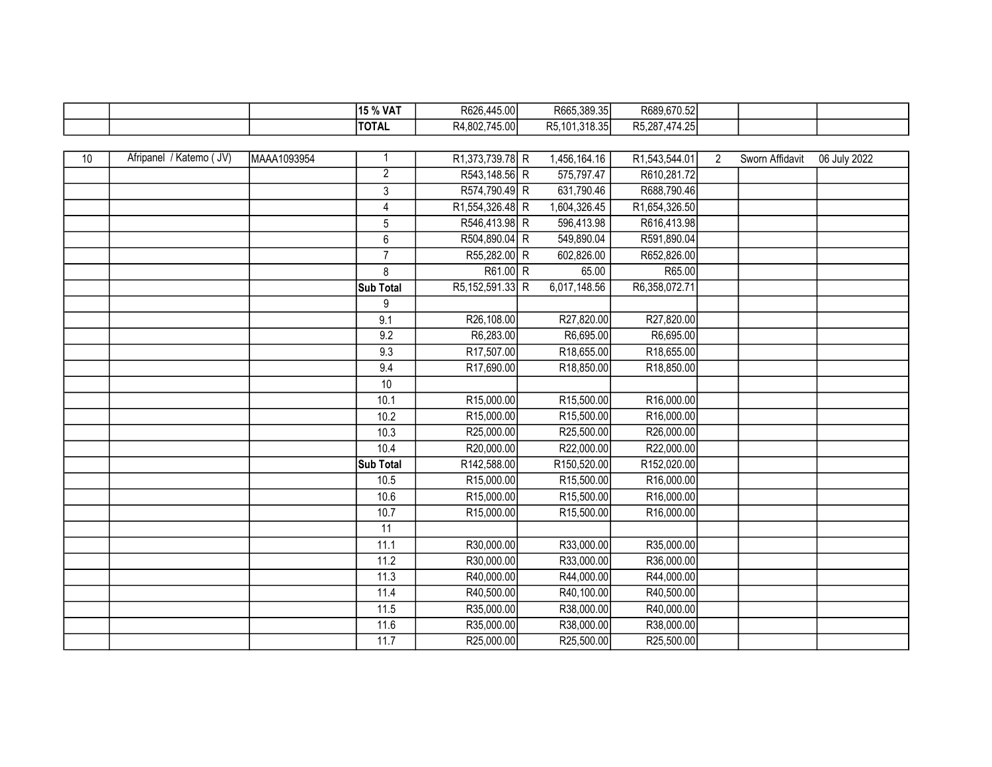|    |                         |             | 15 % VAT       | R626,445.00     | R665,389.35   | R689,670.52   |                |                 |              |
|----|-------------------------|-------------|----------------|-----------------|---------------|---------------|----------------|-----------------|--------------|
|    |                         |             | <b>TOTAL</b>   | R4,802,745.00   | R5,101,318.35 | R5,287,474.25 |                |                 |              |
|    |                         |             |                |                 |               |               |                |                 |              |
| 10 | Afripanel / Katemo (JV) | MAAA1093954 | -1             | R1,373,739.78 R | 1,456,164.16  | R1,543,544.01 | $\overline{2}$ | Sworn Affidavit | 06 July 2022 |
|    |                         |             | $\overline{2}$ | R543,148.56 R   | 575,797.47    | R610,281.72   |                |                 |              |
|    |                         |             | $\mathbf{3}$   | R574,790.49 R   | 631,790.46    | R688,790.46   |                |                 |              |
|    |                         |             | $\overline{4}$ | R1,554,326.48 R | 1,604,326.45  | R1,654,326.50 |                |                 |              |
|    |                         |             | 5              | R546,413.98 R   | 596,413.98    | R616,413.98   |                |                 |              |
|    |                         |             | $6\phantom{1}$ | R504,890.04 R   | 549,890.04    | R591,890.04   |                |                 |              |
|    |                         |             | $\overline{7}$ | R55,282.00 R    | 602,826.00    | R652,826.00   |                |                 |              |
|    |                         |             | 8              | R61.00 R        | 65.00         | R65.00        |                |                 |              |
|    |                         |             | Sub Total      | R5,152,591.33 R | 6,017,148.56  | R6,358,072.71 |                |                 |              |
|    |                         |             | 9              |                 |               |               |                |                 |              |
|    |                         |             | 9.1            | R26,108.00      | R27,820.00    | R27,820.00    |                |                 |              |
|    |                         |             | 9.2            | R6,283.00       | R6,695.00     | R6,695.00     |                |                 |              |
|    |                         |             | 9.3            | R17,507.00      | R18,655.00    | R18,655.00    |                |                 |              |
|    |                         |             | 9.4            | R17,690.00      | R18,850.00    | R18,850.00    |                |                 |              |
|    |                         |             | 10             |                 |               |               |                |                 |              |
|    |                         |             | 10.1           | R15,000.00      | R15,500.00    | R16,000.00    |                |                 |              |
|    |                         |             | 10.2           | R15,000.00      | R15,500.00    | R16,000.00    |                |                 |              |
|    |                         |             | 10.3           | R25,000.00      | R25,500.00    | R26,000.00    |                |                 |              |
|    |                         |             | 10.4           | R20,000.00      | R22,000.00    | R22,000.00    |                |                 |              |
|    |                         |             | Sub Total      | R142,588.00     | R150,520.00   | R152,020.00   |                |                 |              |
|    |                         |             | 10.5           | R15,000.00      | R15,500.00    | R16,000.00    |                |                 |              |
|    |                         |             | 10.6           | R15,000.00      | R15,500.00    | R16,000.00    |                |                 |              |
|    |                         |             | 10.7           | R15,000.00      | R15,500.00    | R16,000.00    |                |                 |              |
|    |                         |             | 11             |                 |               |               |                |                 |              |
|    |                         |             | 11.1           | R30,000.00      | R33,000.00    | R35,000.00    |                |                 |              |
|    |                         |             | 11.2           | R30,000.00      | R33,000.00    | R36,000.00    |                |                 |              |
|    |                         |             | 11.3           | R40,000.00      | R44,000.00    | R44,000.00    |                |                 |              |
|    |                         |             | 11.4           | R40,500.00      | R40,100.00    | R40,500.00    |                |                 |              |
|    |                         |             | 11.5           | R35,000.00      | R38,000.00    | R40,000.00    |                |                 |              |
|    |                         |             | 11.6           | R35,000.00      | R38,000.00    | R38,000.00    |                |                 |              |
|    |                         |             | 11.7           | R25,000.00      | R25,500.00    | R25,500.00    |                |                 |              |

F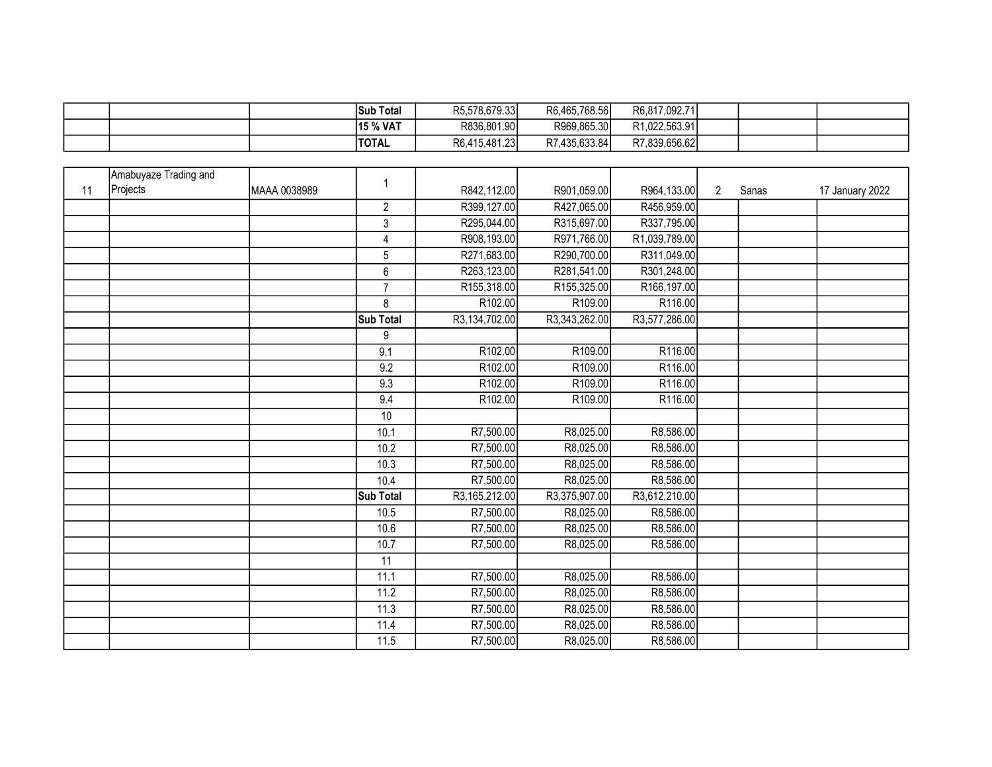|  | 'Sub          | ` Totaï | R5.578.679.33 | R6,465,768.56 | R6,817,092.71             |  |  |
|--|---------------|---------|---------------|---------------|---------------------------|--|--|
|  | 15 % VAT      |         | R836.801.90   | R969.865.30   | R <sub>1.022.563.91</sub> |  |  |
|  | <b>ITOTAL</b> |         | R6,415,481.23 | R7,435,633.84 | R7.839.656.62             |  |  |

|    | Amabuyaze Trading and |              | -1             |               |               |               |                |       |                 |
|----|-----------------------|--------------|----------------|---------------|---------------|---------------|----------------|-------|-----------------|
| 11 | Projects              | MAAA 0038989 |                | R842,112.00   | R901,059.00   | R964,133.00   | $\overline{2}$ | Sanas | 17 January 2022 |
|    |                       |              | $\overline{2}$ | R399,127.00   | R427,065.00   | R456,959.00   |                |       |                 |
|    |                       |              | $\mathfrak{Z}$ | R295,044.00   | R315,697.00   | R337,795.00   |                |       |                 |
|    |                       |              | 4              | R908,193.00   | R971,766.00   | R1,039,789.00 |                |       |                 |
|    |                       |              | 5              | R271,683.00   | R290,700.00   | R311,049.00   |                |       |                 |
|    |                       |              | $6\phantom{a}$ | R263,123.00   | R281,541.00   | R301,248.00   |                |       |                 |
|    |                       |              | $\overline{7}$ | R155,318.00   | R155,325.00   | R166,197.00   |                |       |                 |
|    |                       |              | 8              | R102.00       | R109.00       | R116.00       |                |       |                 |
|    |                       |              | Sub Total      | R3,134,702.00 | R3,343,262.00 | R3,577,286.00 |                |       |                 |
|    |                       |              | 9              |               |               |               |                |       |                 |
|    |                       |              | 9.1            | R102.00       | R109.00       | R116.00       |                |       |                 |
|    |                       |              | 9.2            | R102.00       | R109.00       | R116.00       |                |       |                 |
|    |                       |              | 9.3            | R102.00       | R109.00       | R116.00       |                |       |                 |
|    |                       |              | 9.4            | R102.00       | R109.00       | R116.00       |                |       |                 |
|    |                       |              | 10             |               |               |               |                |       |                 |
|    |                       |              | 10.1           | R7,500.00     | R8,025.00     | R8,586.00     |                |       |                 |
|    |                       |              | 10.2           | R7,500.00     | R8,025.00     | R8,586.00     |                |       |                 |
|    |                       |              | 10.3           | R7,500.00     | R8,025.00     | R8,586.00     |                |       |                 |
|    |                       |              | 10.4           | R7,500.00     | R8,025.00     | R8,586.00     |                |       |                 |
|    |                       |              | Sub Total      | R3,165,212.00 | R3,375,907.00 | R3,612,210.00 |                |       |                 |
|    |                       |              | 10.5           | R7,500.00     | R8,025.00     | R8,586.00     |                |       |                 |
|    |                       |              | 10.6           | R7,500.00     | R8,025.00     | R8,586.00     |                |       |                 |
|    |                       |              | 10.7           | R7,500.00     | R8,025.00     | R8,586.00     |                |       |                 |
|    |                       |              | 11             |               |               |               |                |       |                 |
|    |                       |              | 11.1           | R7,500.00     | R8,025.00     | R8,586.00     |                |       |                 |
|    |                       |              | 11.2           | R7,500.00     | R8,025.00     | R8,586.00     |                |       |                 |
|    |                       |              | 11.3           | R7,500.00     | R8,025.00     | R8,586.00     |                |       |                 |
|    |                       |              | 11.4           | R7,500.00     | R8,025.00     | R8,586.00     |                |       |                 |
|    |                       |              | 11.5           | R7,500.00     | R8,025.00     | R8,586.00     |                |       |                 |
|    |                       |              |                |               |               |               |                |       |                 |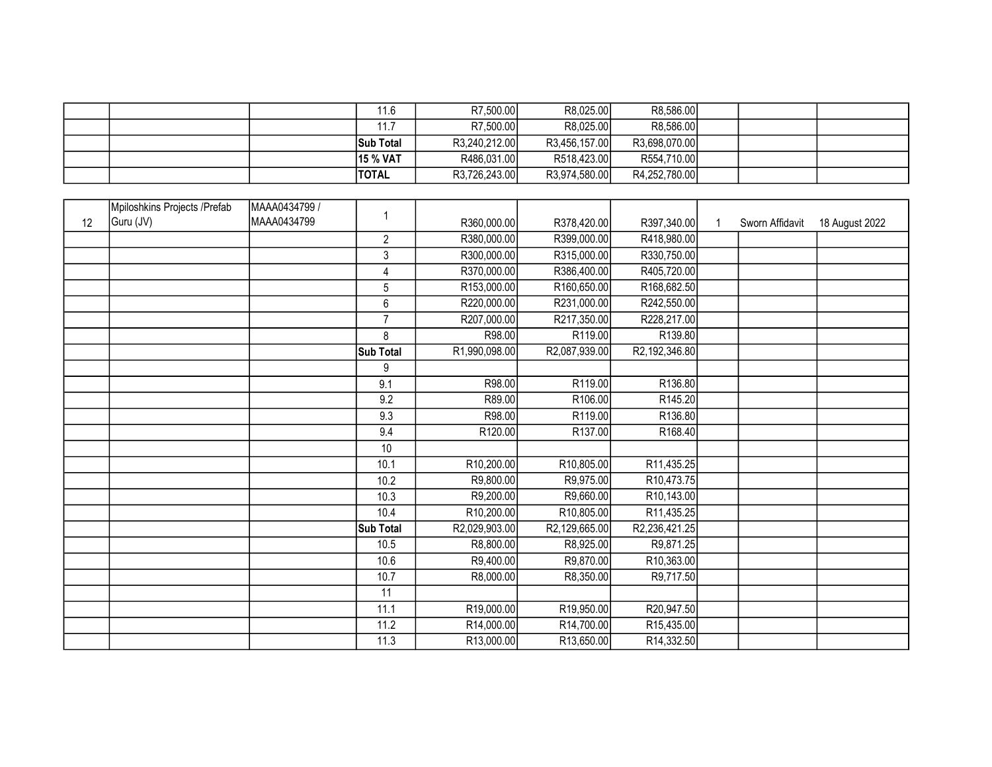|  | 11.6             | R7.500.00     | R8.025.00     | R8,586.00     |  |  |
|--|------------------|---------------|---------------|---------------|--|--|
|  | 11.7             | R7,500.00     | R8.025.00     | R8,586.00     |  |  |
|  | <b>Sub Total</b> | R3,240,212.00 | R3.456.157.00 | R3.698.070.00 |  |  |
|  | <b>15 % VAT</b>  | R486,031.00   | R518,423.00   | R554,710.00   |  |  |
|  | <b>ITOTAL</b>    | R3,726,243.00 | R3,974,580.00 | R4,252,780.00 |  |  |

|    | Mpiloshkins Projects / Prefab | MAAA0434799 / |                |               |               |                          |                 |                |
|----|-------------------------------|---------------|----------------|---------------|---------------|--------------------------|-----------------|----------------|
| 12 | Guru (JV)                     | MAAA0434799   |                | R360,000.00   | R378,420.00   | R397,340.00              | Sworn Affidavit | 18 August 2022 |
|    |                               |               | $\overline{2}$ | R380,000.00   | R399,000.00   | R418,980.00              |                 |                |
|    |                               |               | $\mathbf{3}$   | R300,000.00   | R315,000.00   | R330,750.00              |                 |                |
|    |                               |               | $\overline{4}$ | R370,000.00   | R386,400.00   | R405,720.00              |                 |                |
|    |                               |               | 5              | R153,000.00   | R160,650.00   | R168,682.50              |                 |                |
|    |                               |               | $\,6$          | R220,000.00   | R231,000.00   | R242,550.00              |                 |                |
|    |                               |               | $\overline{7}$ | R207,000.00   | R217,350.00   | R228,217.00              |                 |                |
|    |                               |               | 8              | R98.00        | R119.00       | R139.80                  |                 |                |
|    |                               |               | Sub Total      | R1,990,098.00 | R2,087,939.00 | R2,192,346.80            |                 |                |
|    |                               |               | 9              |               |               |                          |                 |                |
|    |                               |               | 9.1            | R98.00        | R119.00       | R136.80                  |                 |                |
|    |                               |               | 9.2            | R89.00        | R106.00       | R145.20                  |                 |                |
|    |                               |               | 9.3            | R98.00        | R119.00       | R136.80                  |                 |                |
|    |                               |               | 9.4            | R120.00       | R137.00       | R168.40                  |                 |                |
|    |                               |               | 10             |               |               |                          |                 |                |
|    |                               |               | 10.1           | R10,200.00    | R10,805.00    | R11,435.25               |                 |                |
|    |                               |               | 10.2           | R9,800.00     | R9,975.00     | R <sub>10</sub> ,473.75  |                 |                |
|    |                               |               | 10.3           | R9,200.00     | R9,660.00     | R <sub>10</sub> ,143.00  |                 |                |
|    |                               |               | 10.4           | R10,200.00    | R10,805.00    | R <sub>11</sub> ,435.25  |                 |                |
|    |                               |               | Sub Total      | R2,029,903.00 | R2,129,665.00 | R2,236,421.25            |                 |                |
|    |                               |               | 10.5           | R8,800.00     | R8,925.00     | R9,871.25                |                 |                |
|    |                               |               | 10.6           | R9,400.00     | R9,870.00     | R10,363.00               |                 |                |
|    |                               |               | 10.7           | R8,000.00     | R8,350.00     | R9,717.50                |                 |                |
|    |                               |               | 11             |               |               |                          |                 |                |
|    |                               |               | 11.1           | R19,000.00    | R19,950.00    | R20,947.50               |                 |                |
|    |                               |               | 11.2           | R14,000.00    | R14,700.00    | R15,435.00               |                 |                |
|    |                               |               | 11.3           | R13,000.00    | R13,650.00    | R <sub>14</sub> , 332.50 |                 |                |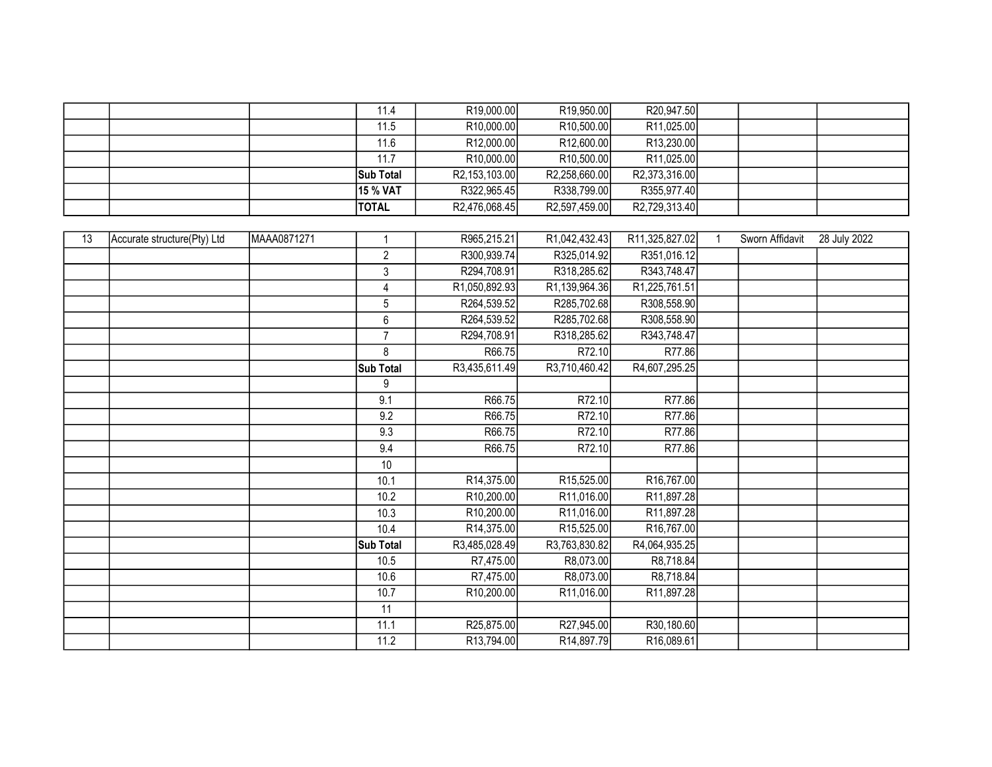|  | 11.4             | R <sub>19</sub> ,000.00 | R <sub>19,950.00</sub>  | R20,947.50              |  |  |
|--|------------------|-------------------------|-------------------------|-------------------------|--|--|
|  | 11.5             | R <sub>10</sub> ,000.00 | R <sub>10</sub> ,500.00 | R11,025.00              |  |  |
|  | 11.6             | R <sub>12</sub> ,000.00 | R12,600.00              | R <sub>13</sub> ,230.00 |  |  |
|  | 11.7             | R <sub>10</sub> ,000.00 | R <sub>10,500.00</sub>  | R11,025.00              |  |  |
|  | <b>Sub Total</b> | R2,153,103.00           | R2,258,660.00           | R2,373,316.00           |  |  |
|  | 15 % VAT         | R322,965.45             | R338,799.00             | R355,977.40             |  |  |
|  | <b>TOTAL</b>     | R2,476,068.45           | R2,597,459.00           | R2,729,313.40           |  |  |

| 13 | Accurate structure(Pty) Ltd | MAAA0871271 | $\overline{1}$  | R965,215.21             | R1,042,432.43              | R11,325,827.02          | Sworn Affidavit | 28 July 2022 |
|----|-----------------------------|-------------|-----------------|-------------------------|----------------------------|-------------------------|-----------------|--------------|
|    |                             |             | $\overline{2}$  | R300,939.74             | R325,014.92                | R351,016.12             |                 |              |
|    |                             |             | 3               | R294,708.91             | R318,285.62                | R343,748.47             |                 |              |
|    |                             |             | 4               | R1,050,892.93           | R <sub>1</sub> ,139,964.36 | R1,225,761.51           |                 |              |
|    |                             |             | 5               | R264,539.52             | R285,702.68                | R308,558.90             |                 |              |
|    |                             |             | $6\phantom{1}6$ | R264,539.52             | R285,702.68                | R308,558.90             |                 |              |
|    |                             |             | $\overline{7}$  | R294,708.91             | R318,285.62                | R343,748.47             |                 |              |
|    |                             |             | 8               | R66.75                  | R72.10                     | R77.86                  |                 |              |
|    |                             |             | Sub Total       | R3,435,611.49           | R3,710,460.42              | R4,607,295.25           |                 |              |
|    |                             |             | 9               |                         |                            |                         |                 |              |
|    |                             |             | 9.1             | R66.75                  | R72.10                     | R77.86                  |                 |              |
|    |                             |             | 9.2             | R66.75                  | R72.10                     | R77.86                  |                 |              |
|    |                             |             | 9.3             | R66.75                  | R72.10                     | R77.86                  |                 |              |
|    |                             |             | 9.4             | R66.75                  | R72.10                     | R77.86                  |                 |              |
|    |                             |             | 10              |                         |                            |                         |                 |              |
|    |                             |             | 10.1            | R14,375.00              | R15,525.00                 | R <sub>16</sub> ,767.00 |                 |              |
|    |                             |             | 10.2            | R10,200.00              | R11,016.00                 | R <sub>11</sub> ,897.28 |                 |              |
|    |                             |             | 10.3            | R <sub>10</sub> ,200.00 | R11,016.00                 | R11,897.28              |                 |              |
|    |                             |             | 10.4            | R14,375.00              | R15,525.00                 | R <sub>16</sub> ,767.00 |                 |              |
|    |                             |             | Sub Total       | R3,485,028.49           | R3,763,830.82              | R4,064,935.25           |                 |              |
|    |                             |             | 10.5            | R7,475.00               | R8,073.00                  | R8,718.84               |                 |              |
|    |                             |             | 10.6            | R7,475.00               | R8,073.00                  | R8,718.84               |                 |              |
|    |                             |             | 10.7            | R <sub>10</sub> ,200.00 | R11,016.00                 | R <sub>11</sub> ,897.28 |                 |              |
|    |                             |             | 11              |                         |                            |                         |                 |              |
|    |                             |             | 11.1            | R25,875.00              | R27,945.00                 | R30,180.60              |                 |              |
|    |                             |             | 11.2            | R13,794.00              | R14,897.79                 | R16,089.61              |                 |              |
|    |                             |             |                 |                         |                            |                         |                 |              |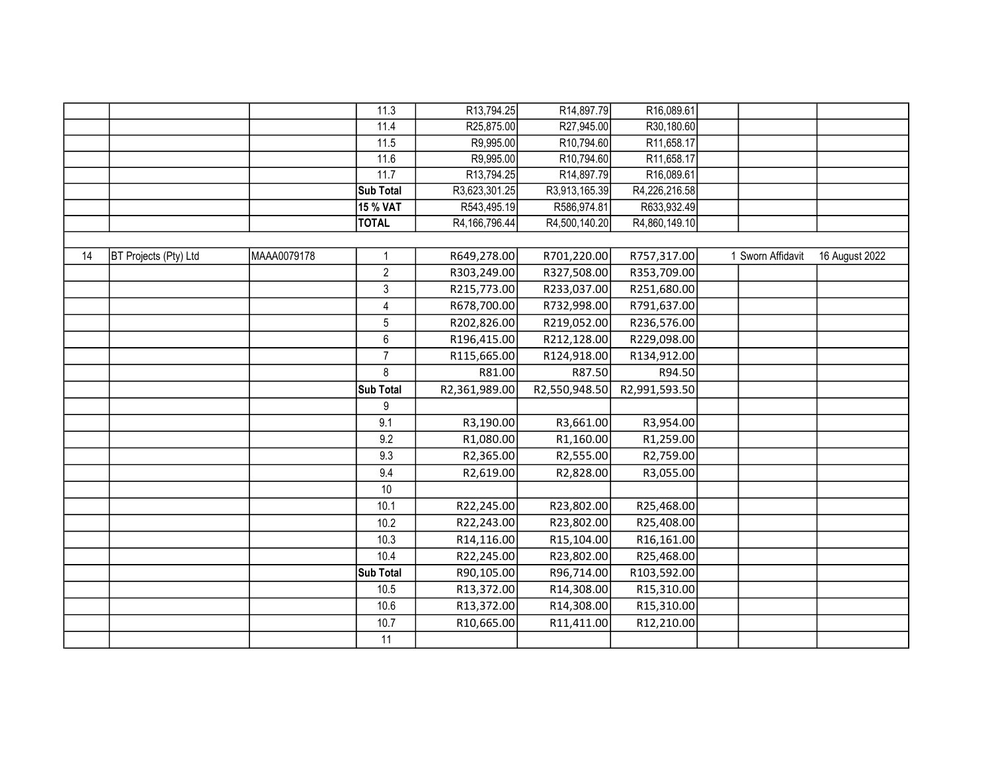|    |                       |             | 11.3            | R <sub>13</sub> ,794.25 | R14,897.79    | R16,089.61    |                   |                |
|----|-----------------------|-------------|-----------------|-------------------------|---------------|---------------|-------------------|----------------|
|    |                       |             | 11.4            | R25,875.00              | R27,945.00    | R30,180.60    |                   |                |
|    |                       |             | 11.5            | R9,995.00               | R10,794.60    | R11,658.17    |                   |                |
|    |                       |             | 11.6            | R9,995.00               | R10,794.60    | R11,658.17    |                   |                |
|    |                       |             | 11.7            | R13,794.25              | R14,897.79    | R16,089.61    |                   |                |
|    |                       |             | Sub Total       | R3,623,301.25           | R3,913,165.39 | R4,226,216.58 |                   |                |
|    |                       |             | <b>15 % VAT</b> | R543,495.19             | R586,974.81   | R633,932.49   |                   |                |
|    |                       |             | <b>TOTAL</b>    | R4,166,796.44           | R4,500,140.20 | R4,860,149.10 |                   |                |
|    |                       |             |                 |                         |               |               |                   |                |
| 14 | BT Projects (Pty) Ltd | MAAA0079178 | 1               | R649,278.00             | R701,220.00   | R757,317.00   | 1 Sworn Affidavit | 16 August 2022 |
|    |                       |             | $\overline{c}$  | R303,249.00             | R327,508.00   | R353,709.00   |                   |                |
|    |                       |             | $\mathsf 3$     | R215,773.00             | R233,037.00   | R251,680.00   |                   |                |
|    |                       |             | $\overline{4}$  | R678,700.00             | R732,998.00   | R791,637.00   |                   |                |
|    |                       |             | $\sqrt{5}$      | R202,826.00             | R219,052.00   | R236,576.00   |                   |                |
|    |                       |             | 6               | R196,415.00             | R212,128.00   | R229,098.00   |                   |                |
|    |                       |             | $\overline{7}$  | R115,665.00             | R124,918.00   | R134,912.00   |                   |                |
|    |                       |             | 8               | R81.00                  | R87.50        | R94.50        |                   |                |
|    |                       |             | Sub Total       | R2,361,989.00           | R2,550,948.50 | R2,991,593.50 |                   |                |
|    |                       |             | 9               |                         |               |               |                   |                |
|    |                       |             | 9.1             | R3,190.00               | R3,661.00     | R3,954.00     |                   |                |
|    |                       |             | 9.2             | R1,080.00               | R1,160.00     | R1,259.00     |                   |                |
|    |                       |             | 9.3             | R2,365.00               | R2,555.00     | R2,759.00     |                   |                |
|    |                       |             | 9.4             | R2,619.00               | R2,828.00     | R3,055.00     |                   |                |
|    |                       |             | 10              |                         |               |               |                   |                |
|    |                       |             | 10.1            | R22,245.00              | R23,802.00    | R25,468.00    |                   |                |
|    |                       |             | 10.2            | R22,243.00              | R23,802.00    | R25,408.00    |                   |                |
|    |                       |             | 10.3            | R14,116.00              | R15,104.00    | R16,161.00    |                   |                |
|    |                       |             | 10.4            | R22,245.00              | R23,802.00    | R25,468.00    |                   |                |
|    |                       |             | Sub Total       | R90,105.00              | R96,714.00    | R103,592.00   |                   |                |
|    |                       |             | 10.5            | R13,372.00              | R14,308.00    | R15,310.00    |                   |                |
|    |                       |             | 10.6            | R13,372.00              | R14,308.00    | R15,310.00    |                   |                |
|    |                       |             | 10.7            | R10,665.00              | R11,411.00    | R12,210.00    |                   |                |
|    |                       |             | 11              |                         |               |               |                   |                |
|    |                       |             |                 |                         |               |               |                   |                |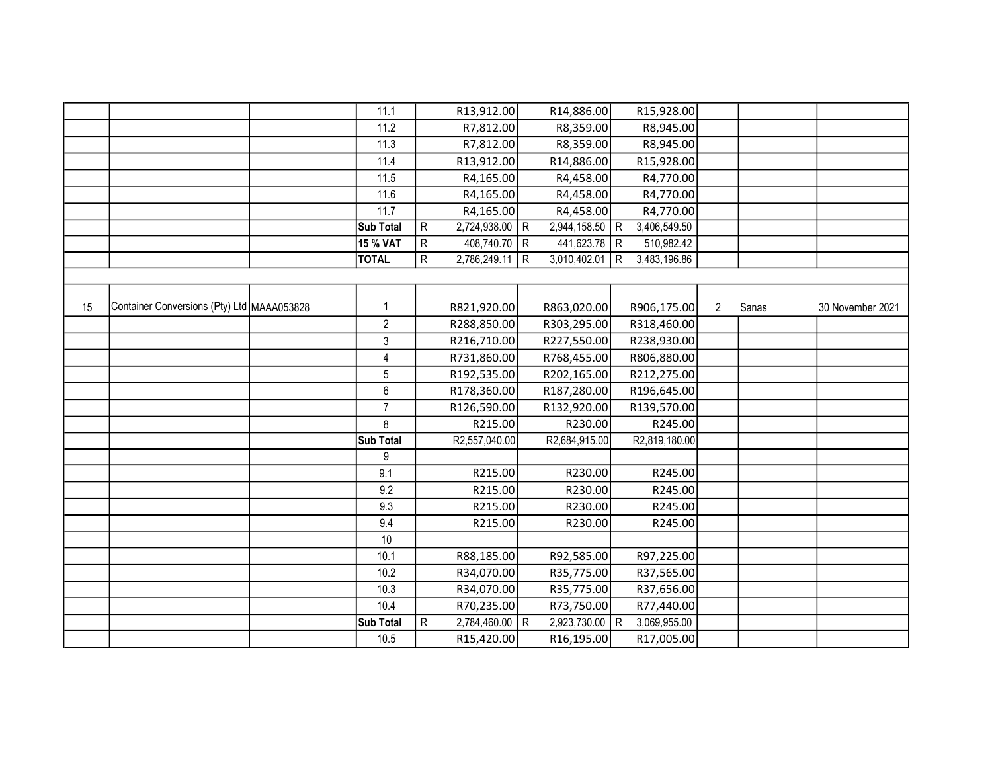|    |                                            | 11.1           |              | R13,912.00     |   | R14,886.00     |     | R15,928.00    |                |       |                  |
|----|--------------------------------------------|----------------|--------------|----------------|---|----------------|-----|---------------|----------------|-------|------------------|
|    |                                            | 11.2           |              | R7,812.00      |   | R8,359.00      |     | R8,945.00     |                |       |                  |
|    |                                            | 11.3           |              | R7,812.00      |   | R8,359.00      |     | R8,945.00     |                |       |                  |
|    |                                            | 11.4           |              | R13,912.00     |   | R14,886.00     |     | R15,928.00    |                |       |                  |
|    |                                            | 11.5           |              | R4,165.00      |   | R4,458.00      |     | R4,770.00     |                |       |                  |
|    |                                            | 11.6           |              | R4,165.00      |   | R4,458.00      |     | R4,770.00     |                |       |                  |
|    |                                            | 11.7           |              | R4,165.00      |   | R4,458.00      |     | R4,770.00     |                |       |                  |
|    |                                            | Sub Total      | $\mathsf{R}$ | 2,724,938.00 R |   | 2,944,158.50 R |     | 3,406,549.50  |                |       |                  |
|    |                                            | 15 % VAT       | ${\sf R}$    | 408,740.70 R   |   | 441,623.78 R   |     | 510,982.42    |                |       |                  |
|    |                                            | <b>TOTAL</b>   | R            | 2,786,249.11   | R | 3,010,402.01   | l R | 3,483,196.86  |                |       |                  |
|    |                                            |                |              |                |   |                |     |               |                |       |                  |
|    |                                            |                |              |                |   |                |     |               |                |       |                  |
| 15 | Container Conversions (Pty) Ltd MAAA053828 | $\mathbf{1}$   |              | R821,920.00    |   | R863,020.00    |     | R906,175.00   | $\overline{2}$ | Sanas | 30 November 2021 |
|    |                                            | $\overline{2}$ |              | R288,850.00    |   | R303,295.00    |     | R318,460.00   |                |       |                  |
|    |                                            | $\mathbf{3}$   |              | R216,710.00    |   | R227,550.00    |     | R238,930.00   |                |       |                  |
|    |                                            | 4              |              | R731,860.00    |   | R768,455.00    |     | R806,880.00   |                |       |                  |
|    |                                            | $\overline{5}$ |              | R192,535.00    |   | R202,165.00    |     | R212,275.00   |                |       |                  |
|    |                                            | $6\phantom{1}$ |              | R178,360.00    |   | R187,280.00    |     | R196,645.00   |                |       |                  |
|    |                                            | $\overline{7}$ |              | R126,590.00    |   | R132,920.00    |     | R139,570.00   |                |       |                  |
|    |                                            | 8              |              | R215.00        |   | R230.00        |     | R245.00       |                |       |                  |
|    |                                            | Sub Total      |              | R2,557,040.00  |   | R2,684,915.00  |     | R2,819,180.00 |                |       |                  |
|    |                                            | 9              |              |                |   |                |     |               |                |       |                  |
|    |                                            | 9.1            |              | R215.00        |   | R230.00        |     | R245.00       |                |       |                  |
|    |                                            | 9.2            |              | R215.00        |   | R230.00        |     | R245.00       |                |       |                  |
|    |                                            | 9.3            |              | R215.00        |   | R230.00        |     | R245.00       |                |       |                  |
|    |                                            | 9.4            |              | R215.00        |   | R230.00        |     | R245.00       |                |       |                  |
|    |                                            | 10             |              |                |   |                |     |               |                |       |                  |
|    |                                            | 10.1           |              | R88,185.00     |   | R92,585.00     |     | R97,225.00    |                |       |                  |
|    |                                            | 10.2           |              | R34,070.00     |   | R35,775.00     |     | R37,565.00    |                |       |                  |
|    |                                            | 10.3           |              | R34,070.00     |   | R35,775.00     |     | R37,656.00    |                |       |                  |
|    |                                            | 10.4           |              | R70,235.00     |   | R73,750.00     |     | R77,440.00    |                |       |                  |
|    |                                            | Sub Total      | ${\sf R}$    | 2,784,460.00 R |   | 2,923,730.00 R |     | 3,069,955.00  |                |       |                  |
|    |                                            | 10.5           |              | R15,420.00     |   | R16,195.00     |     | R17,005.00    |                |       |                  |
|    |                                            |                |              |                |   |                |     |               |                |       |                  |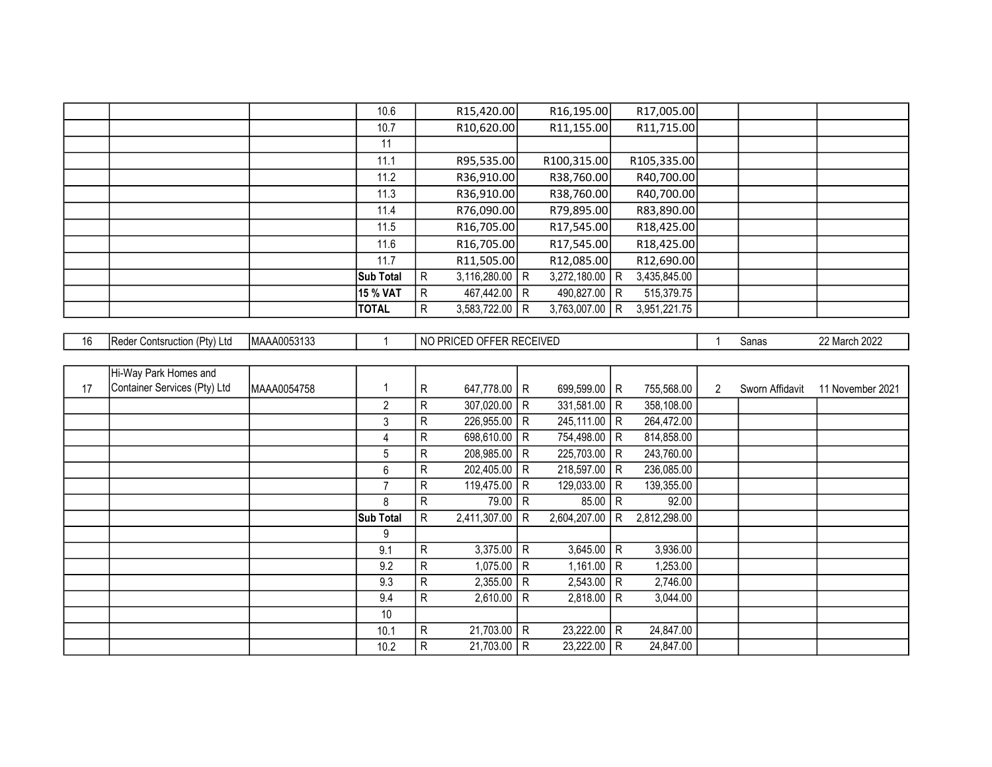|  |       | 10.6             |              | R <sub>15</sub> ,420.00 |   | R <sub>16</sub> ,195.00 |     | R17,005.00              |  |  |
|--|-------|------------------|--------------|-------------------------|---|-------------------------|-----|-------------------------|--|--|
|  |       | 10.7             |              | R <sub>10</sub> ,620.00 |   | R11,155.00              |     | R11,715.00              |  |  |
|  |       | 11               |              |                         |   |                         |     |                         |  |  |
|  |       | 11.1             |              | R95,535.00              |   | R100,315.00             |     | R105,335.00             |  |  |
|  |       | 11.2             |              | R36,910.00              |   | R38,760.00              |     | R40,700.00              |  |  |
|  |       | 11.3             |              | R36,910.00              |   | R38,760.00              |     | R40,700.00              |  |  |
|  |       | 11.4             |              | R76,090.00              |   | R79,895.00              |     | R83,890.00              |  |  |
|  |       | 11.5             |              | R <sub>16</sub> ,705.00 |   | R17,545.00              |     | R <sub>18</sub> ,425.00 |  |  |
|  |       | 11.6             |              | R <sub>16</sub> ,705.00 |   | R17,545.00              |     | R <sub>18</sub> ,425.00 |  |  |
|  |       | 11.7             |              | R11,505.00              |   | R12,085.00              |     | R12,690.00              |  |  |
|  |       | <b>Sub Total</b> | R.           | 3,116,280.00            | R | 3,272,180.00            | R   | 3,435,845.00            |  |  |
|  |       | 15 % VAT         | R.           | 467,442.00              | R | 490,827.00              | l R | 515,379.75              |  |  |
|  | TOTAL |                  | $\mathsf{R}$ | 3,583,722.00            | R | 3,763,007.00            | R   | 3,951,221.75            |  |  |

| 16 | Reder Contsruction (Pty) Ltd | MAAA0053133 |                  |    | NO PRICED OFFER RECEIVED |   |                |              |              |                      | Sanas           | 22 March 2022    |
|----|------------------------------|-------------|------------------|----|--------------------------|---|----------------|--------------|--------------|----------------------|-----------------|------------------|
|    |                              |             |                  |    |                          |   |                |              |              |                      |                 |                  |
|    | Hi-Way Park Homes and        |             |                  |    |                          |   |                |              |              |                      |                 |                  |
| 17 | Container Services (Pty) Ltd | MAAA0054758 | 1                | R  | 647,778.00               | R | 699,599.00 R   |              | 755,568.00   | $\mathbf{2}^{\circ}$ | Sworn Affidavit | 11 November 2021 |
|    |                              |             | $\overline{2}$   | R  | 307,020.00               | R | 331,581.00     | R            | 358,108.00   |                      |                 |                  |
|    |                              |             | 3                | R  | 226,955.00               | R | 245,111.00   R |              | 264,472.00   |                      |                 |                  |
|    |                              |             | 4                | R  | 698,610.00               | R | 754,498.00     | R            | 814,858.00   |                      |                 |                  |
|    |                              |             | 5                | R  | 208,985.00               | R | 225,703.00     | R            | 243,760.00   |                      |                 |                  |
|    |                              |             | 6                | R  | 202,405.00               | R | 218,597.00     | l R          | 236,085.00   |                      |                 |                  |
|    |                              |             | $\overline{7}$   | R  | 119,475.00               | R | 129,033.00     | R            | 139,355.00   |                      |                 |                  |
|    |                              |             | 8                | R  | 79.00                    | R | 85.00          | R            | 92.00        |                      |                 |                  |
|    |                              |             | <b>Sub Total</b> | R  | 2,411,307.00             | R | 2,604,207.00   | R            | 2,812,298.00 |                      |                 |                  |
|    |                              |             | 9                |    |                          |   |                |              |              |                      |                 |                  |
|    |                              |             | 9.1              | R  | 3,375.00                 | R | 3,645.00       | $\mathsf{R}$ | 3,936.00     |                      |                 |                  |
|    |                              |             | 9.2              | R  | 1,075.00                 | R | 1,161.00       | R            | 1,253.00     |                      |                 |                  |
|    |                              |             | 9.3              | R  | 2,355.00                 | R | 2,543.00       | R            | 2,746.00     |                      |                 |                  |
|    |                              |             | 9.4              | R. | 2,610.00                 | R | 2,818.00       | R            | 3,044.00     |                      |                 |                  |
|    |                              |             | 10               |    |                          |   |                |              |              |                      |                 |                  |
|    |                              |             | 10.1             | R  | 21,703.00                | R | 23,222.00      | $\mathsf{R}$ | 24,847.00    |                      |                 |                  |
|    |                              |             | 10.2             | R  | 21,703.00                | R | 23,222.00      | R            | 24,847.00    |                      |                 |                  |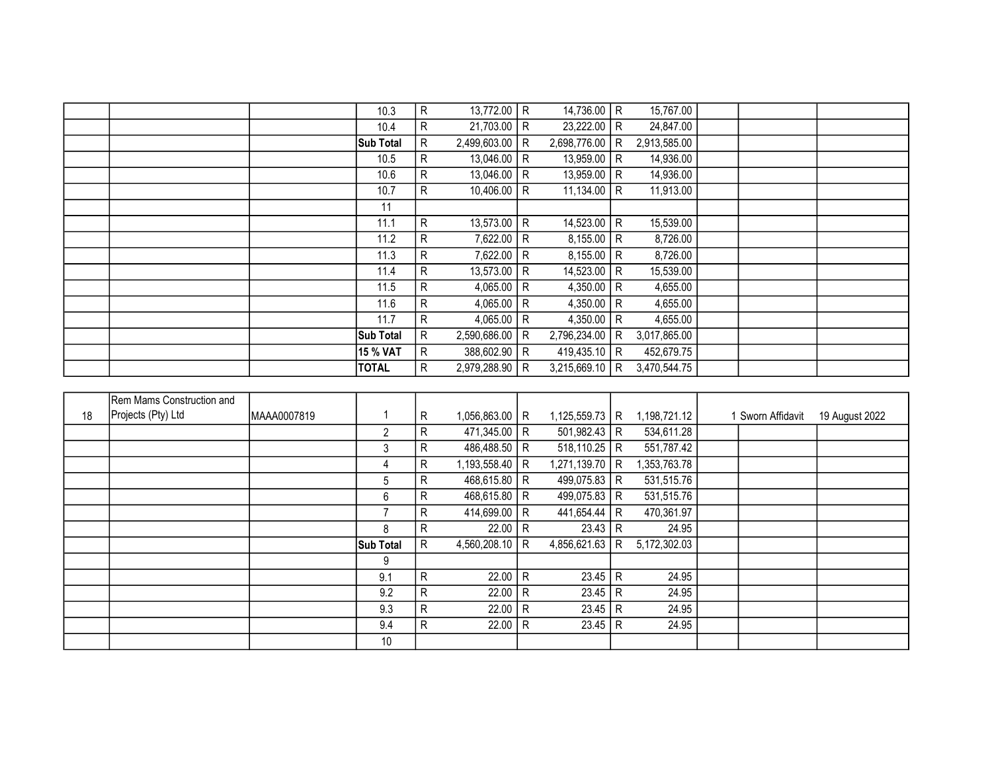|  | 10.3             | R  | 13,772.00    | R            | 14,736.00 R      |   | 15,767.00    |  |  |
|--|------------------|----|--------------|--------------|------------------|---|--------------|--|--|
|  | 10.4             | R  | 21,703.00    | R            | 23,222.00 R      |   | 24,847.00    |  |  |
|  | <b>Sub Total</b> | R  | 2,499,603.00 | R            | 2,698,776.00     | R | 2,913,585.00 |  |  |
|  | 10.5             | R  | 13,046.00    | R            | $13,959.00$ R    |   | 14,936.00    |  |  |
|  | 10.6             | R  | 13,046.00    | R.           | 13,959.00 R      |   | 14,936.00    |  |  |
|  | 10.7             | R  | 10,406.00    | R            | 11,134.00 R      |   | 11,913.00    |  |  |
|  | 11               |    |              |              |                  |   |              |  |  |
|  | 11.1             | R. | 13,573.00    | R            | 14,523.00 R      |   | 15,539.00    |  |  |
|  | 11.2             | R  | 7,622.00     | R            | $8,155.00$ R     |   | 8,726.00     |  |  |
|  | 11.3             | R. | 7,622.00     | R            | $8,155.00$ R     |   | 8,726.00     |  |  |
|  | 11.4             | R  | 13,573.00    | $\mathsf{R}$ | 14,523.00   R    |   | 15,539.00    |  |  |
|  | 11.5             | R  | 4,065.00     | R            | 4,350.00   R     |   | 4,655.00     |  |  |
|  | 11.6             | R. | 4,065.00     | R            | 4,350.00   R     |   | 4,655.00     |  |  |
|  | 11.7             | R. | 4,065.00     | R            | 4,350.00   R     |   | 4,655.00     |  |  |
|  | Sub Total        | R  | 2,590,686.00 | R            | 2,796,234.00 R   |   | 3,017,865.00 |  |  |
|  | 15 % VAT         | R  | 388,602.90   | R            | 419,435.10   R   |   | 452,679.75   |  |  |
|  | <b>TOTAL</b>     | R  | 2,979,288.90 | R            | $3,215,669.10$ R |   | 3,470,544.75 |  |  |

|    | Rem Mams Construction and |             |                  |    |                  |              |                  |   |              |                   |                |
|----|---------------------------|-------------|------------------|----|------------------|--------------|------------------|---|--------------|-------------------|----------------|
| 18 | Projects (Pty) Ltd        | MAAA0007819 |                  | R  | $1,056,863.00$ R |              | $1,125,559.73$ R |   | 1,198,721.12 | 1 Sworn Affidavit | 19 August 2022 |
|    |                           |             | $\overline{2}$   | R. | 471,345.00       | R            | $501,982.43$ R   |   | 534,611.28   |                   |                |
|    |                           |             | 3                | R  | 486,488.50 R     |              | $518,110.25$ R   |   | 551,787.42   |                   |                |
|    |                           |             | 4                | R  | 1,193,558.40   R |              | 1,271,139.70 R   |   | 1,353,763.78 |                   |                |
|    |                           |             | 5                | R. | $468,615.80$ R   |              | 499,075.83 R     |   | 531,515.76   |                   |                |
|    |                           |             | 6                | R  | $468,615.80$ R   |              | 499,075.83 R     |   | 531,515.76   |                   |                |
|    |                           |             | $\overline{7}$   | R  | 414,699.00       | R            | 441,654.44   R   |   | 470,361.97   |                   |                |
|    |                           |             | 8                | R  | 22.00            | R            | $23.43 \mid R$   |   | 24.95        |                   |                |
|    |                           |             | <b>Sub Total</b> | R  | 4,560,208.10     | R.           | 4,856,621.63     | R | 5,172,302.03 |                   |                |
|    |                           |             | 9                |    |                  |              |                  |   |              |                   |                |
|    |                           |             | 9.1              | R  | 22.00            | $\mathsf{R}$ | $23.45$ R        |   | 24.95        |                   |                |
|    |                           |             | 9.2              | R  | 22.00            | R            | $23.45$ R        |   | 24.95        |                   |                |
|    |                           |             | 9.3              | R  | 22.00            | R            | $23.45$ R        |   | 24.95        |                   |                |
|    |                           |             | 9.4              | R  | 22.00            | R            | $23.45$ R        |   | 24.95        |                   |                |
|    |                           |             | $10$             |    |                  |              |                  |   |              |                   |                |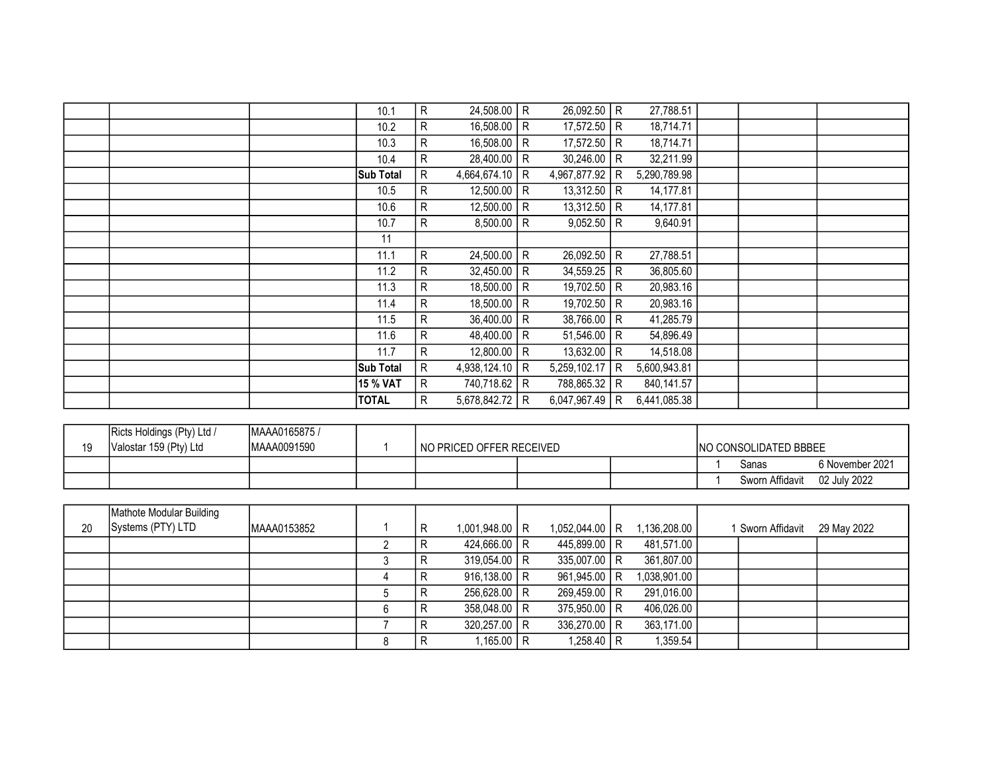|  |                  | 10.1 | 24,508.00<br>R            | R            | 26,092.50              | l R | 27,788.51    |  |  |
|--|------------------|------|---------------------------|--------------|------------------------|-----|--------------|--|--|
|  |                  | 10.2 | R<br>16,508.00            | l R          | 17,572.50 R            |     | 18,714.71    |  |  |
|  |                  | 10.3 | $\mathsf{R}$<br>16,508.00 | R            | 17,572.50              | l R | 18,714.71    |  |  |
|  |                  | 10.4 | R<br>$28,400.00$ R        |              | 30,246.00              | l R | 32,211.99    |  |  |
|  | <b>Sub Total</b> |      | 4,664,674.10   R<br>R     |              | 4,967,877.92           | R   | 5,290,789.98 |  |  |
|  |                  | 10.5 | 12,500.00   R<br>R        |              | 13,312.50              | l R | 14,177.81    |  |  |
|  |                  | 10.6 | 12,500.00   R<br>R        |              | 13,312.50              | l R | 14,177.81    |  |  |
|  |                  | 10.7 | R.<br>8,500.00            | R            | 9,052.50               | l R | 9,640.91     |  |  |
|  |                  | 11   |                           |              |                        |     |              |  |  |
|  |                  | 11.1 | R<br>24,500.00            | $\mathsf{R}$ | 26,092.50              | l R | 27,788.51    |  |  |
|  |                  | 11.2 | R.<br>32,450.00           | l R          | 34,559.25              | l R | 36,805.60    |  |  |
|  |                  | 11.3 | R<br>18,500.00   R        |              | 19,702.50              | R   | 20,983.16    |  |  |
|  |                  | 11.4 | 18,500.00   R<br>R        |              | 19,702.50              | R   | 20,983.16    |  |  |
|  |                  | 11.5 | R<br>$36,400.00$ R        |              | $\overline{38,766.00}$ | l R | 41,285.79    |  |  |
|  |                  | 11.6 | 48,400.00   R<br>R        |              | 51,546.00              | l R | 54,896.49    |  |  |
|  |                  | 11.7 | R<br>12,800.00            | l R          | 13,632.00              | l R | 14,518.08    |  |  |
|  | <b>Sub Total</b> |      | R<br>4,938,124.10         | R            | 5,259,102.17           | R   | 5,600,943.81 |  |  |
|  | <b>15 % VAT</b>  |      | R<br>740,718.62           | R            | 788,865.32             | l R | 840,141.57   |  |  |
|  | <b>TOTAL</b>     |      | R<br>5,678,842.72         | R            | 6,047,967.49           | R   | 6,441,085.38 |  |  |
|  |                  |      |                           |              |                        |     |              |  |  |

| 19 | Ricts Holdings (Pty) Ltd /<br>Valostar 159 (Pty) Ltd | MAAA0165875 /<br>MAAA0091590 | NO PRICED OFFER RECEIVED |  | INO CONSOLIDATED BBBEE |                 |
|----|------------------------------------------------------|------------------------------|--------------------------|--|------------------------|-----------------|
|    |                                                      |                              |                          |  | Sanas                  | S November 2021 |
|    |                                                      |                              |                          |  | Sworn Affidavit        | 02 July 2022    |

|    | Mathote Modular Building |             |   |                  |                  |              |                 |             |
|----|--------------------------|-------------|---|------------------|------------------|--------------|-----------------|-------------|
| 20 | Systems (PTY) LTD        | MAAA0153852 | R | $1,001,948.00$ R | $1,052,044.00$ R | 1,136,208.00 | Sworn Affidavit | 29 May 2022 |
|    |                          |             |   | 424,666.00   R   | 445,899.00 R     | 481,571.00   |                 |             |
|    |                          |             |   | $319,054.00$ R   | 335,007.00 R     | 361,807.00   |                 |             |
|    |                          |             |   | $916,138.00$ R   | 961,945.00 R     | 1,038,901.00 |                 |             |
|    |                          |             |   | 256,628.00 R     | 269,459.00 R     | 291,016.00   |                 |             |
|    |                          |             |   | 358,048.00 R     | 375,950.00 R     | 406,026.00   |                 |             |
|    |                          |             |   | $320,257.00$ R   | 336,270.00 R     | 363,171.00   |                 |             |
|    |                          |             |   | 1,165.00 R       | 1,258.40   R     | 1,359.54     |                 |             |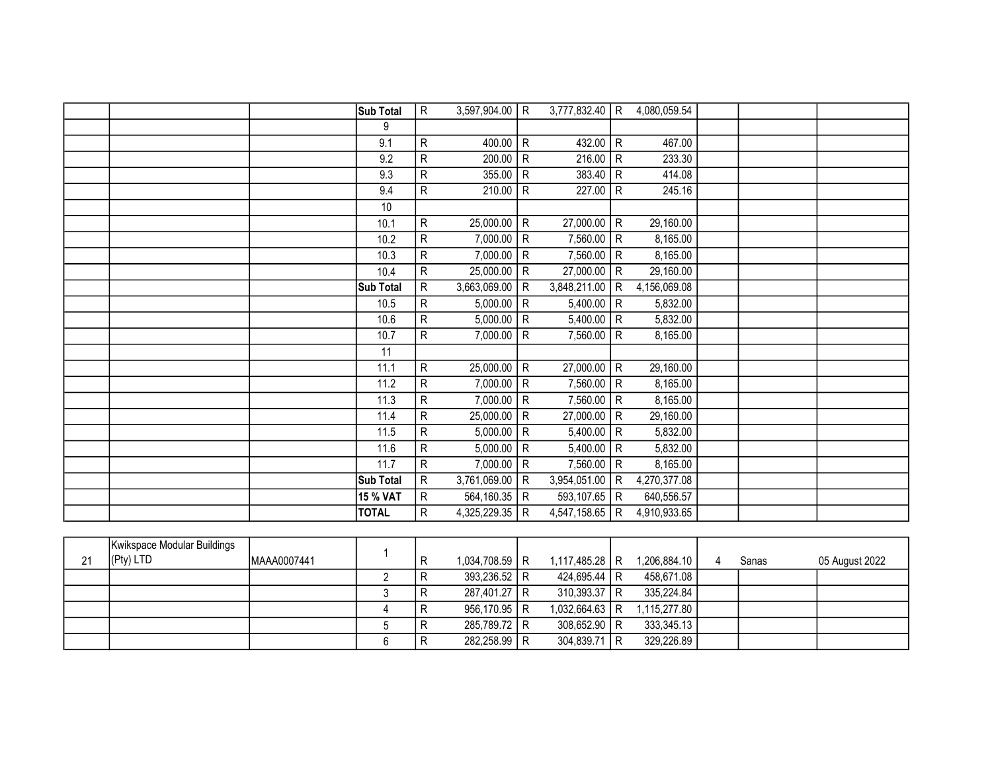|  | Sub Total    | $\mathsf{R}$   | 3,597,904.00 | l R            | $3,777,832.40$ R |              | 4,080,059.54 |  |  |
|--|--------------|----------------|--------------|----------------|------------------|--------------|--------------|--|--|
|  | 9            |                |              |                |                  |              |              |  |  |
|  | 9.1          | ${\sf R}$      | 400.00       | $\mathsf{R}$   | 432.00   R       |              | 467.00       |  |  |
|  | 9.2          | ${\sf R}$      | 200.00       | $\mathsf R$    | 216.00   R       |              | 233.30       |  |  |
|  | 9.3          | $\overline{R}$ | 355.00       | $\mathsf{R}$   | $383.40$ R       |              | 414.08       |  |  |
|  | 9.4          | ${\sf R}$      | 210.00       | ${\sf R}$      | 227.00           | $\mathsf{R}$ | 245.16       |  |  |
|  | 10           |                |              |                |                  |              |              |  |  |
|  | 10.1         | ${\sf R}$      | 25,000.00    | ${\sf R}$      | 27,000.00        | $\mathsf{R}$ | 29,160.00    |  |  |
|  | 10.2         | ${\sf R}$      | 7,000.00     | R              | 7,560.00   R     |              | 8,165.00     |  |  |
|  | 10.3         | ${\sf R}$      | 7,000.00     | $\mathsf{R}$   | 7,560.00   R     |              | 8,165.00     |  |  |
|  | 10.4         | ${\sf R}$      | 25,000.00    | R              | 27,000.00        | R            | 29,160.00    |  |  |
|  | Sub Total    | ${\sf R}$      | 3,663,069.00 | R              | 3,848,211.00     | R            | 4,156,069.08 |  |  |
|  | 10.5         | ${\sf R}$      | 5,000.00     | $\mathsf{R}$   | $5,400.00$ R     |              | 5,832.00     |  |  |
|  | 10.6         | ${\sf R}$      | 5,000.00     | $\mathsf{R}$   | 5,400.00   R     |              | 5,832.00     |  |  |
|  | 10.7         | ${\sf R}$      | 7,000.00     | ${\sf R}$      | 7,560.00         | $\mathsf{R}$ | 8,165.00     |  |  |
|  | 11           |                |              |                |                  |              |              |  |  |
|  | 11.1         | ${\sf R}$      | 25,000.00    | $\overline{R}$ | $27,000.00$ R    |              | 29,160.00    |  |  |
|  | 11.2         | ${\sf R}$      | 7,000.00     | $\mathsf{R}$   | 7,560.00   R     |              | 8,165.00     |  |  |
|  | 11.3         | ${\sf R}$      | 7,000.00   R |                | $7,560.00$ R     |              | 8,165.00     |  |  |
|  | 11.4         | ${\sf R}$      | 25,000.00    | ${\sf R}$      | 27,000.00        | $\mathsf{R}$ | 29,160.00    |  |  |
|  | 11.5         | ${\sf R}$      | 5,000.00     | $\mathsf{R}$   | 5,400.00   R     |              | 5,832.00     |  |  |
|  | 11.6         | ${\sf R}$      | 5,000.00     | R              | 5,400.00         | $\mathsf{R}$ | 5,832.00     |  |  |
|  | 11.7         | ${\sf R}$      | 7,000.00     | $\mathsf{R}$   | 7,560.00   R     |              | 8,165.00     |  |  |
|  | Sub Total    | $\mathsf{R}$   | 3,761,069.00 | R              | 3,954,051.00     | R            | 4,270,377.08 |  |  |
|  | 15 % VAT     | ${\sf R}$      | 564,160.35   | R              | 593,107.65 R     |              | 640,556.57   |  |  |
|  | <b>TOTAL</b> | R              | 4,325,229.35 | R              | 4,547,158.65   R |              | 4,910,933.65 |  |  |
|  |              |                |              |                |                  |              |              |  |  |

| 21 | Kwikspace Modular Buildings<br>(Pty) LTD | MAAA0007441 |  | $1,034,708.59$ R | $1,117,485.28$ R | 1,206,884.10 | Sanas | 05 August 2022 |
|----|------------------------------------------|-------------|--|------------------|------------------|--------------|-------|----------------|
|    |                                          |             |  | 393,236.52 R     | 424,695.44   R   | 458,671.08   |       |                |
|    |                                          |             |  | 287,401.27 R     | $310,393.37$ R   | 335,224.84   |       |                |
|    |                                          |             |  | $956,170.95$ R   | $1,032,664.63$ R | 1,115,277.80 |       |                |
|    |                                          |             |  | 285,789.72 R     | 308,652.90 R     | 333,345.13   |       |                |
|    |                                          |             |  | 282,258.99 R     | $304,839.71$ R   | 329,226.89   |       |                |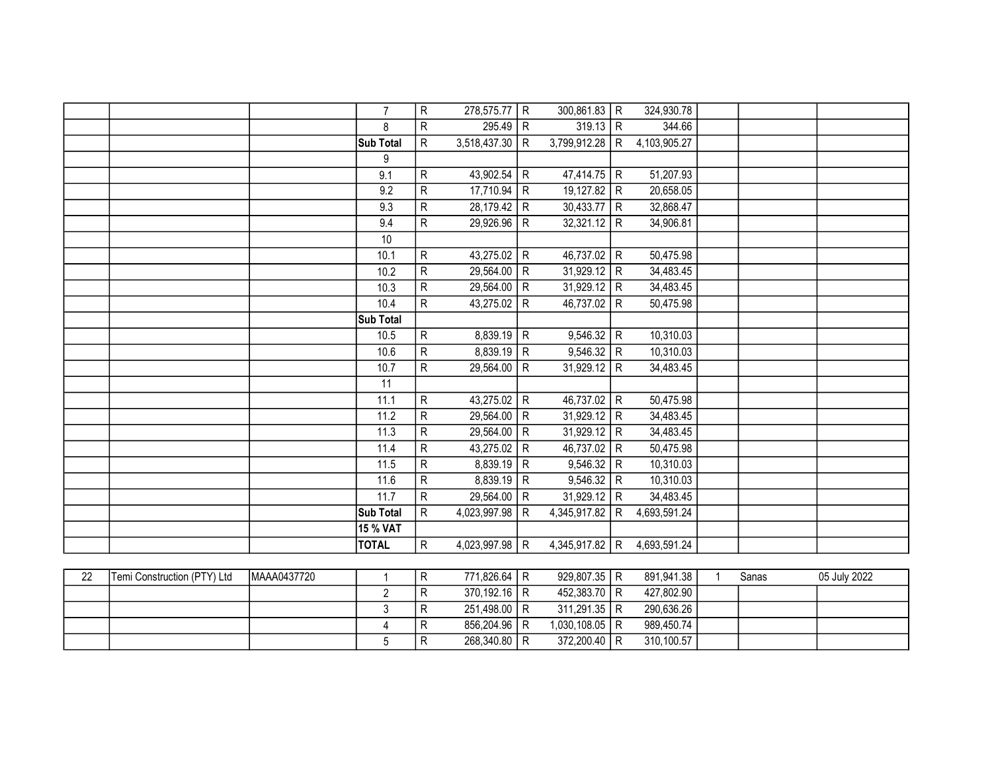|    |                             |             | $\overline{7}$  | R                       | 278,575.77   | R              | 300,861.83     | R              | 324,930.78   |              |       |              |
|----|-----------------------------|-------------|-----------------|-------------------------|--------------|----------------|----------------|----------------|--------------|--------------|-------|--------------|
|    |                             |             | 8               | R                       | 295.49       | R              | $319.13$ R     |                | 344.66       |              |       |              |
|    |                             |             | Sub Total       | $\mathsf R$             | 3,518,437.30 | $\mathsf{R}$   | 3,799,912.28   | R              | 4,103,905.27 |              |       |              |
|    |                             |             | 9               |                         |              |                |                |                |              |              |       |              |
|    |                             |             | 9.1             | R                       | 43,902.54    | $\mathsf{R}$   | 47,414.75 R    |                | 51,207.93    |              |       |              |
|    |                             |             | 9.2             | R                       | 17,710.94    | $\mathsf{R}$   | 19,127.82      | l R            | 20,658.05    |              |       |              |
|    |                             |             | 9.3             | ${\sf R}$               | 28,179.42    | $\mathsf{R}$   | $30,433.77$ R  |                | 32,868.47    |              |       |              |
|    |                             |             | 9.4             | R                       | 29,926.96    | $\mathsf{R}$   | 32,321.12      | l R            | 34,906.81    |              |       |              |
|    |                             |             | 10              |                         |              |                |                |                |              |              |       |              |
|    |                             |             | 10.1            | R                       | 43,275.02    | $\mathsf{R}$   | 46,737.02      | R              | 50,475.98    |              |       |              |
|    |                             |             | 10.2            | $\overline{R}$          | 29,564.00    | ${\sf R}$      | 31,929.12      | $\mathsf{R}$   | 34,483.45    |              |       |              |
|    |                             |             | 10.3            | ${\sf R}$               | 29,564.00    | $\mathsf{R}$   | $31,929.12$ R  |                | 34,483.45    |              |       |              |
|    |                             |             | 10.4            | ${\sf R}$               | 43,275.02    | $\mathsf{R}$   | 46,737.02      | R              | 50,475.98    |              |       |              |
|    |                             |             | Sub Total       |                         |              |                |                |                |              |              |       |              |
|    |                             |             | 10.5            | R                       | 8,839.19     | ${\sf R}$      | 9,546.32       | R              | 10,310.03    |              |       |              |
|    |                             |             | 10.6            | ${\sf R}$               | 8,839.19     | R              | $9,546.32$ R   |                | 10,310.03    |              |       |              |
|    |                             |             | 10.7            | R                       | 29,564.00    | ${\sf R}$      | 31,929.12      | $\mathsf{R}$   | 34,483.45    |              |       |              |
|    |                             |             | $\overline{11}$ |                         |              |                |                |                |              |              |       |              |
|    |                             |             | 11.1            | R                       | 43,275.02    | $\overline{R}$ | 46,737.02      | $\overline{R}$ | 50,475.98    |              |       |              |
|    |                             |             | 11.2            | ${\sf R}$               | 29,564.00    | $\mathsf{R}$   | $31,929.12$ R  |                | 34,483.45    |              |       |              |
|    |                             |             | 11.3            | $\overline{\mathsf{R}}$ | 29,564.00    | $\mathsf{R}$   | $31,929.12$ R  |                | 34,483.45    |              |       |              |
|    |                             |             | 11.4            | $\overline{R}$          | 43,275.02    | ${\sf R}$      | 46,737.02 R    |                | 50,475.98    |              |       |              |
|    |                             |             | 11.5            | $\overline{R}$          | 8,839.19     | ${\sf R}$      | $9,546.32$ R   |                | 10,310.03    |              |       |              |
|    |                             |             | 11.6            | ${\sf R}$               | 8,839.19     | ${\sf R}$      | 9,546.32       | l R            | 10,310.03    |              |       |              |
|    |                             |             | 11.7            | $\overline{\mathsf{R}}$ | 29,564.00    | $\mathsf{R}$   | $31,929.12$ R  |                | 34,483.45    |              |       |              |
|    |                             |             | Sub Total       | $\overline{R}$          | 4,023,997.98 | $\mathsf{R}$   | 4,345,917.82   | R              | 4,693,591.24 |              |       |              |
|    |                             |             | 15 % VAT        |                         |              |                |                |                |              |              |       |              |
|    |                             |             | <b>TOTAL</b>    | R                       | 4,023,997.98 | $\mathsf{R}$   | 4,345,917.82 R |                | 4,693,591.24 |              |       |              |
|    |                             |             |                 |                         |              |                |                |                |              |              |       |              |
| 22 | Temi Construction (PTY) Ltd | MAAA0437720 | 1               | ${\sf R}$               | 771,826.64   | R              | 929,807.35     | R              | 891,941.38   | $\mathbf{1}$ | Sanas | 05 July 2022 |
|    |                             |             | $\overline{2}$  | R                       | 370,192.16   | R              | 452,383.70     | R              | 427,802.90   |              |       |              |
|    |                             |             | $\mathsf 3$     | R                       | 251,498.00   | $\mathsf{R}$   | 311,291.35     | R              | 290,636.26   |              |       |              |
|    |                             |             | $\overline{4}$  | $\mathsf{R}$            | 856,204.96   | $\mathsf{R}$   | 1,030,108.05   | R              | 989,450.74   |              |       |              |

R 856,204.96 R 1,030,108.05 R<br>R 268,340.80 R 372,200.40 R 5 R 268,340.80 R 372,200.40 R 310,100.57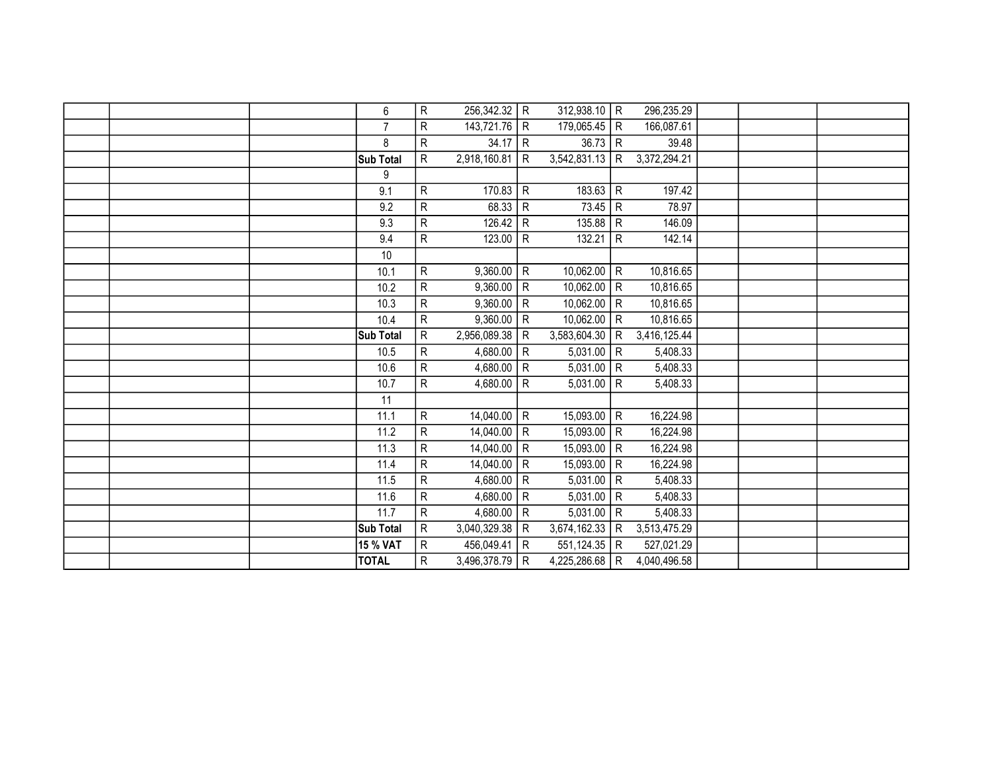|  | 6               | R                       | 256,342.32   | $\mathsf{R}$   | $312,938.10$ R |                | 296,235.29   |  |  |
|--|-----------------|-------------------------|--------------|----------------|----------------|----------------|--------------|--|--|
|  | $\overline{7}$  | R                       | 143,721.76   | ${\sf R}$      | 179,065.45     | R              | 166,087.61   |  |  |
|  | 8               | R                       | 34.17        | $\mathsf{R}$   | $36.73$ R      |                | 39.48        |  |  |
|  | Sub Total       | $\overline{\mathsf{R}}$ | 2,918,160.81 | $\mathsf{R}$   | 3,542,831.13   | l R            | 3,372,294.21 |  |  |
|  | 9               |                         |              |                |                |                |              |  |  |
|  | 9.1             | R                       | 170.83       | $\mathsf{R}$   | 183.63         | R              | 197.42       |  |  |
|  | 9.2             | ${\sf R}$               | 68.33        | $\mathsf{R}$   | 73.45          | R              | 78.97        |  |  |
|  | 9.3             | $\overline{\mathsf{R}}$ | 126.42       | ${\sf R}$      | 135.88         | R              | 146.09       |  |  |
|  | 9.4             | R                       | 123.00       | $\overline{R}$ | 132.21         | $\overline{R}$ | 142.14       |  |  |
|  | 10              |                         |              |                |                |                |              |  |  |
|  | 10.1            | R                       | 9,360.00     | R              | 10,062.00      | R              | 10,816.65    |  |  |
|  | 10.2            | ${\sf R}$               | 9,360.00     | ${\sf R}$      | 10,062.00      | R<br>R         | 10,816.65    |  |  |
|  | 10.3            | R                       | 9,360.00     | $\mathsf{R}$   | 10,062.00      | R              | 10,816.65    |  |  |
|  | 10.4            | R                       | 9,360.00     | $\mathsf{R}$   | 10,062.00      | R              | 10,816.65    |  |  |
|  | Sub Total       | R                       | 2,956,089.38 | $\mathsf{R}$   | 3,583,604.30   | R              | 3,416,125.44 |  |  |
|  | 10.5            | $\overline{R}$          | 4,680.00     | ${\sf R}$      | $5,031.00$ R   |                | 5,408.33     |  |  |
|  | 10.6            | $\overline{R}$          | 4,680.00     | $\overline{R}$ | $5,031.00$ R   |                | 5,408.33     |  |  |
|  | 10.7            | $\overline{R}$          | 4,680.00     | $\mathsf{R}$   | $5,031.00$ R   |                | 5,408.33     |  |  |
|  | 11              |                         |              |                |                |                |              |  |  |
|  | 11.1            | ${\sf R}$               | 14,040.00    | R              | $15,093.00$ R  |                | 16,224.98    |  |  |
|  | 11.2            | ${\sf R}$               | 14,040.00    | ${\sf R}$      | 15,093.00      | R              | 16,224.98    |  |  |
|  | 11.3            | R                       | 14,040.00    | $\mathsf{R}$   | 15,093.00      | R              | 16,224.98    |  |  |
|  | 11.4            | $\overline{R}$          | 14,040.00    | $\mathsf{R}$   | 15,093.00      | R              | 16,224.98    |  |  |
|  | 11.5            | R                       | 4,680.00     | $\mathsf{R}$   | $5,031.00$ R   |                | 5,408.33     |  |  |
|  | 11.6            | $\overline{\mathsf{R}}$ | 4,680.00     | ${\sf R}$      | $5,031.00$ R   |                | 5,408.33     |  |  |
|  | 11.7            | R                       | 4,680.00     | ${\sf R}$      | $5,031.00$ R   |                | 5,408.33     |  |  |
|  | Sub Total       | R                       | 3,040,329.38 | R              | 3,674,162.33   | R              | 3,513,475.29 |  |  |
|  | <b>15 % VAT</b> | R                       | 456,049.41   | $\mathsf{R}$   | 551,124.35   R |                | 527,021.29   |  |  |
|  | <b>TOTAL</b>    | R                       | 3,496,378.79 | R              | 4,225,286.68   | l R            | 4,040,496.58 |  |  |
|  |                 |                         |              |                |                |                |              |  |  |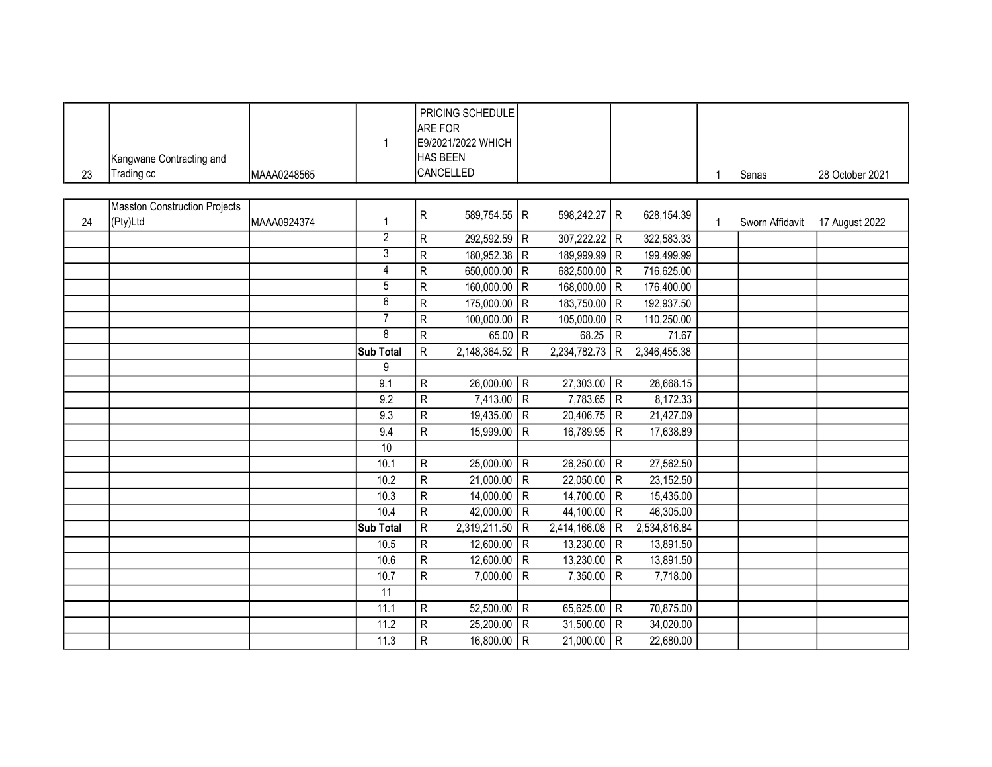|    |                               |             | $\mathbf{1}$     | <b>ARE FOR</b>          | PRICING SCHEDULE<br>E9/2021/2022 WHICH |                |               |                |              |              |                 |                 |
|----|-------------------------------|-------------|------------------|-------------------------|----------------------------------------|----------------|---------------|----------------|--------------|--------------|-----------------|-----------------|
|    | Kangwane Contracting and      |             |                  |                         | HAS BEEN                               |                |               |                |              |              |                 |                 |
| 23 | Trading cc                    | MAAA0248565 |                  |                         | CANCELLED                              |                |               |                |              | $\mathbf{1}$ | Sanas           | 28 October 2021 |
|    |                               |             |                  |                         |                                        |                |               |                |              |              |                 |                 |
|    | Masston Construction Projects |             |                  |                         |                                        |                |               |                |              |              |                 |                 |
| 24 | (Pty)Ltd                      | MAAA0924374 | $\mathbf{1}$     | ${\sf R}$               | 589,754.55 R                           |                | 598,242.27 R  |                | 628, 154.39  | $\mathbf{1}$ | Sworn Affidavit | 17 August 2022  |
|    |                               |             | $\overline{2}$   | $\mathsf{R}$            | 292,592.59 R                           |                | 307,222.22 R  |                | 322,583.33   |              |                 |                 |
|    |                               |             | $\overline{3}$   | $\overline{R}$          | 180,952.38                             | $\overline{R}$ | 189,999.99 R  |                | 199,499.99   |              |                 |                 |
|    |                               |             | $\overline{4}$   | ${\sf R}$               | 650,000.00 R                           |                | 682,500.00 R  |                | 716,625.00   |              |                 |                 |
|    |                               |             | 5                | $\mathsf{R}$            | 160,000.00 R                           |                | 168,000.00 R  |                | 176,400.00   |              |                 |                 |
|    |                               |             | $\overline{6}$   | $\mathsf{R}$            | 175,000.00                             | R              | 183,750.00 R  |                | 192,937.50   |              |                 |                 |
|    |                               |             | 7                | $\overline{R}$          | 100,000.00                             | l R            | 105,000.00 R  |                | 110,250.00   |              |                 |                 |
|    |                               |             | $\overline{8}$   | $\mathsf{R}$            | $65.00$ R                              |                | $68.25$ R     |                | 71.67        |              |                 |                 |
|    |                               |             | Sub Total        | $\overline{\mathsf{R}}$ | 2,148,364.52 R                         |                | 2,234,782.73  | R              | 2,346,455.38 |              |                 |                 |
|    |                               |             | 9                |                         |                                        |                |               |                |              |              |                 |                 |
|    |                               |             | 9.1              | ${\sf R}$               | $26,000.00$ R                          |                | $27,303.00$ R |                | 28,668.15    |              |                 |                 |
|    |                               |             | 9.2              | $\overline{R}$          | 7,413.00                               | $\overline{R}$ | $7,783.65$ R  |                | 8,172.33     |              |                 |                 |
|    |                               |             | 9.3              | $\overline{R}$          | 19,435.00                              | R              | $20,406.75$ R |                | 21,427.09    |              |                 |                 |
|    |                               |             | 9.4              | $\overline{R}$          | 15,999.00                              | $\mathsf{R}$   | 16,789.95     | l R            | 17,638.89    |              |                 |                 |
|    |                               |             | 10               |                         |                                        |                |               |                |              |              |                 |                 |
|    |                               |             | 10.1             | $\overline{R}$          | $25,000.00$ R                          |                | $26,250.00$ R |                | 27,562.50    |              |                 |                 |
|    |                               |             | 10.2             | ${\sf R}$               | 21,000.00                              | ${\sf R}$      | 22,050.00     | R              | 23,152.50    |              |                 |                 |
|    |                               |             | 10.3             | $\overline{R}$          | 14,000.00                              | R              | $14,700.00$ R |                | 15,435.00    |              |                 |                 |
|    |                               |             | 10.4             | $\overline{R}$          | 42,000.00                              | $\overline{R}$ | 44,100.00     | ĪR             | 46,305.00    |              |                 |                 |
|    |                               |             | <b>Sub Total</b> | $\overline{R}$          | 2,319,211.50                           | $\mathsf{R}$   | 2,414,166.08  | $\mathsf{R}$   | 2,534,816.84 |              |                 |                 |
|    |                               |             | 10.5             | $\mathsf R$             | 12,600.00                              | R              | 13,230.00   R |                | 13,891.50    |              |                 |                 |
|    |                               |             | 10.6             | $\overline{R}$          | 12,600.00                              | $\overline{R}$ | 13,230.00     | R              | 13,891.50    |              |                 |                 |
|    |                               |             | 10.7             | $\overline{R}$          | 7,000.00                               | $\overline{R}$ | 7,350.00      | $\overline{R}$ | 7,718.00     |              |                 |                 |
|    |                               |             | $\overline{11}$  |                         |                                        |                |               |                |              |              |                 |                 |
|    |                               |             | 11.1             | $\mathsf R$             | 52,500.00                              | $\mathsf{R}$   | 65,625.00   R |                | 70,875.00    |              |                 |                 |
|    |                               |             | 11.2             | ${\sf R}$               | 25,200.00                              | $\mathsf{R}$   | 31,500.00 R   |                | 34,020.00    |              |                 |                 |
|    |                               |             | 11.3             | $\overline{R}$          | 16,800.00                              | $\overline{R}$ | 21,000.00     | l R            | 22,680.00    |              |                 |                 |
|    |                               |             |                  |                         |                                        |                |               |                |              |              |                 |                 |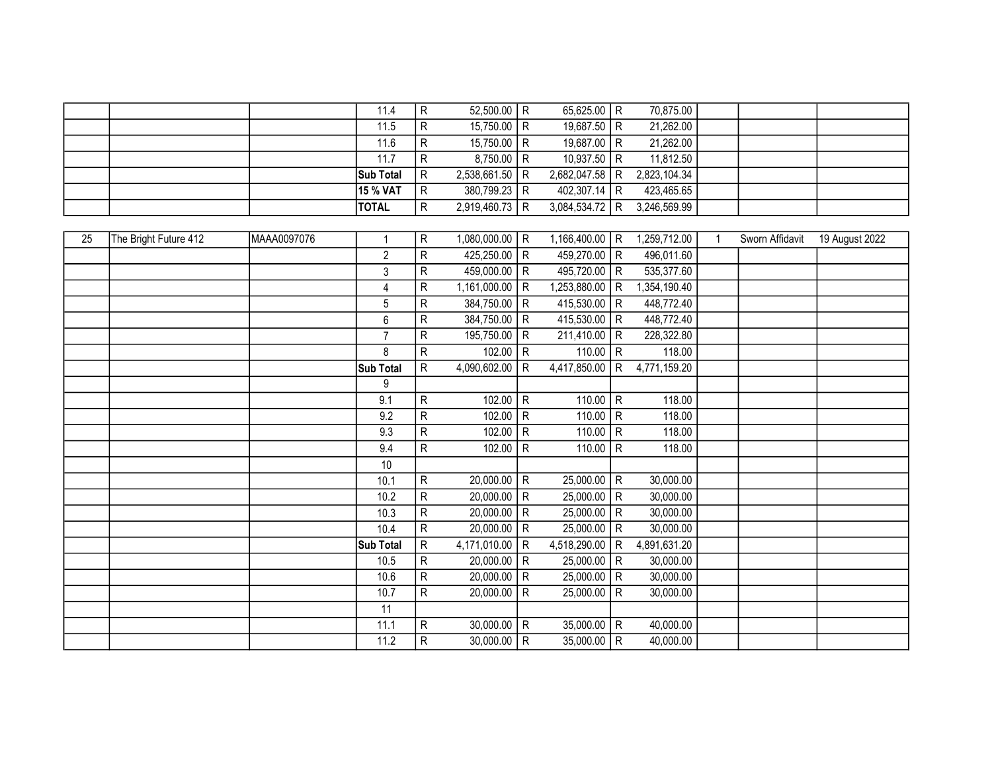|  |                  | 11.4 | $52,500.00$ R         | 65,625.00 R      | 70,875.00    |  |  |
|--|------------------|------|-----------------------|------------------|--------------|--|--|
|  |                  | 11.5 | 15,750.00   R         | 19,687.50 R      | 21,262.00    |  |  |
|  |                  | 11.6 | 15,750.00   R         | 19,687.00 R      | 21,262.00    |  |  |
|  |                  | 11.7 | $8,750.00$ R          | 10,937.50 R      | 11,812.50    |  |  |
|  | <b>Sub Total</b> | IR.  | $2,538,661.50$ R      | 2,682,047.58 R   | 2,823,104.34 |  |  |
|  | <b>15 % VAT</b>  | l R  | 380,799.23 R          | 402.307.14 I R   | 423,465.65   |  |  |
|  | <b>TOTAL</b>     |      | $2,919,460.73$ R<br>R | $3,084,534.72$ R | 3,246,569.99 |  |  |

| 25 | The Bright Future 412 | MAAA0097076 | $\mathbf{1}$   | ${\sf R}$      | 1,080,000.00  | R            | 1,166,400.00   R |              | 1,259,712.00 | $\mathbf{1}$ | Sworn Affidavit | 19 August 2022 |
|----|-----------------------|-------------|----------------|----------------|---------------|--------------|------------------|--------------|--------------|--------------|-----------------|----------------|
|    |                       |             | $\overline{2}$ | ${\sf R}$      | 425,250.00    | R            | 459,270.00 R     |              | 496,011.60   |              |                 |                |
|    |                       |             | 3              | ${\sf R}$      | 459,000.00    | R            | 495,720.00 R     |              | 535,377.60   |              |                 |                |
|    |                       |             | 4              | ${\sf R}$      | 1,161,000.00  | R            | 1,253,880.00     | R            | 1,354,190.40 |              |                 |                |
|    |                       |             | 5              | ${\sf R}$      | 384,750.00    | R            | 415,530.00   R   |              | 448,772.40   |              |                 |                |
|    |                       |             | 6              | R              | 384,750.00    | ${\sf R}$    | 415,530.00 R     |              | 448,772.40   |              |                 |                |
|    |                       |             | $\overline{7}$ | R              | 195,750.00    | $\mathsf{R}$ | $211,410.00$ R   |              | 228,322.80   |              |                 |                |
|    |                       |             | 8              | ${\sf R}$      | 102.00        | $\mathsf{R}$ | 110.00   R       |              | 118.00       |              |                 |                |
|    |                       |             | Sub Total      | ${\sf R}$      | 4,090,602.00  | R            | 4,417,850.00     | $\mathsf{R}$ | 4,771,159.20 |              |                 |                |
|    |                       |             | 9              |                |               |              |                  |              |              |              |                 |                |
|    |                       |             | 9.1            | ${\sf R}$      | 102.00        | R            | $110.00$ R       |              | 118.00       |              |                 |                |
|    |                       |             | 9.2            | ${\sf R}$      | 102.00        | $\mathsf{R}$ | 110.00   R       |              | 118.00       |              |                 |                |
|    |                       |             | 9.3            | ${\sf R}$      | 102.00        | ${\sf R}$    | 110.00           | $\mathsf{R}$ | 118.00       |              |                 |                |
|    |                       |             | 9.4            | $\mathsf{R}$   | 102.00        | R            | 110.00           | R            | 118.00       |              |                 |                |
|    |                       |             | 10             |                |               |              |                  |              |              |              |                 |                |
|    |                       |             | 10.1           | $\mathsf{R}$   | 20,000.00     | R            | $25,000.00$ R    |              | 30,000.00    |              |                 |                |
|    |                       |             | 10.2           | ${\sf R}$      | 20,000.00     | $\mathsf{R}$ | $25,000.00$ R    |              | 30,000.00    |              |                 |                |
|    |                       |             | 10.3           | $\mathsf{R}$   | 20,000.00     | $\mathsf{R}$ | $25,000.00$ R    |              | 30,000.00    |              |                 |                |
|    |                       |             | 10.4           | $\overline{R}$ | 20,000.00     | R            | 25,000.00        | R            | 30,000.00    |              |                 |                |
|    |                       |             | Sub Total      | ${\sf R}$      | 4,171,010.00  | $\mathsf{R}$ | 4,518,290.00     | $\mathsf{R}$ | 4,891,631.20 |              |                 |                |
|    |                       |             | 10.5           | ${\sf R}$      | 20,000.00     | $\mathsf{R}$ | 25,000.00        | R            | 30,000.00    |              |                 |                |
|    |                       |             | 10.6           | ${\sf R}$      | 20,000.00     | ${\sf R}$    | 25,000.00        | R            | 30,000.00    |              |                 |                |
|    |                       |             | 10.7           | ${\sf R}$      | 20,000.00     | R            | 25,000.00        | R            | 30,000.00    |              |                 |                |
|    |                       |             | 11             |                |               |              |                  |              |              |              |                 |                |
|    |                       |             | 11.1           | R              | $30,000.00$ R |              | $35,000.00$ R    |              | 40,000.00    |              |                 |                |
|    |                       |             | 11.2           | ${\sf R}$      | $30,000.00$ R |              | $35,000.00$ R    |              | 40,000.00    |              |                 |                |
|    |                       |             |                |                |               |              |                  |              |              |              |                 |                |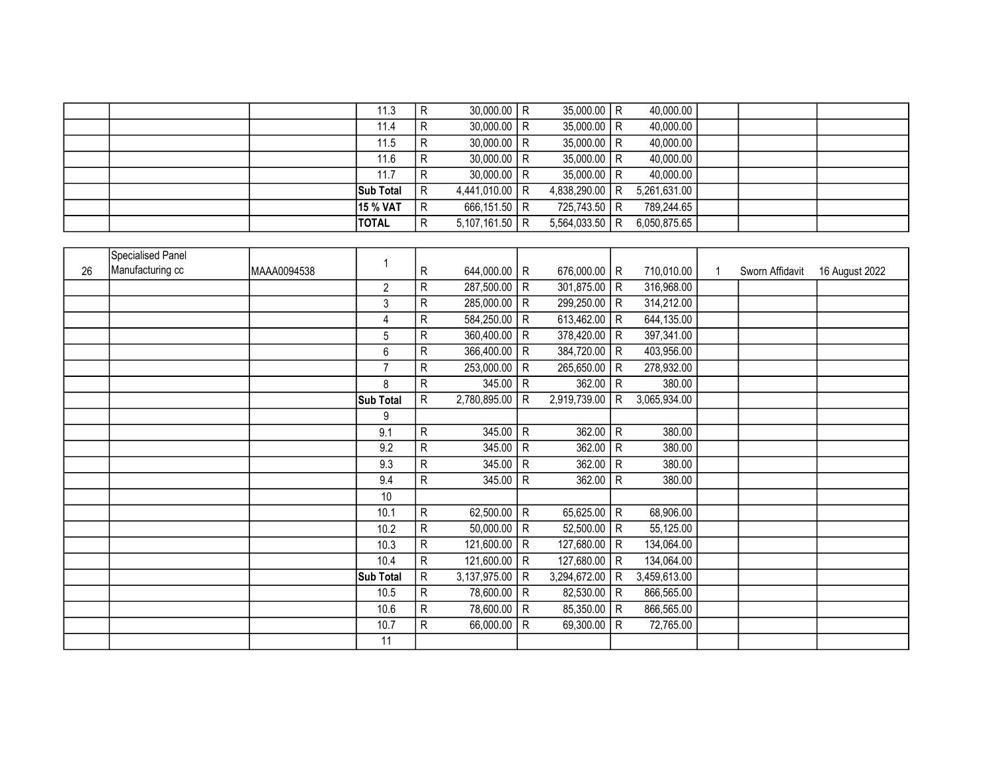|  | 11.3 |                                              |  |                                                                                                                                           | 40,000.00                                                                                                                                 |  |  |
|--|------|----------------------------------------------|--|-------------------------------------------------------------------------------------------------------------------------------------------|-------------------------------------------------------------------------------------------------------------------------------------------|--|--|
|  | 11.4 |                                              |  |                                                                                                                                           | 40,000.00                                                                                                                                 |  |  |
|  | 11.5 |                                              |  |                                                                                                                                           | 40,000.00                                                                                                                                 |  |  |
|  | 11.6 | R                                            |  |                                                                                                                                           | 40,000.00                                                                                                                                 |  |  |
|  | 11.7 |                                              |  |                                                                                                                                           | 40,000.00                                                                                                                                 |  |  |
|  |      | . R                                          |  |                                                                                                                                           | 5,261,631.00                                                                                                                              |  |  |
|  |      | R                                            |  |                                                                                                                                           | 789,244.65                                                                                                                                |  |  |
|  |      | R                                            |  |                                                                                                                                           | 6,050,875.65                                                                                                                              |  |  |
|  |      | <b>Sub Total</b><br>15 % VAT<br><b>TOTAL</b> |  | $30,000.00$ R<br>$30,000.00$ R<br>$30,000.00$ R<br>$30,000.00$ R<br>$30,000.00$ R<br>4,441,010.00   R<br>666,151.50 R<br>$5,107,161.50$ R | $35,000.00$ R<br>$35,000.00$ R<br>$35,000.00$ R<br>$35,000.00$ R<br>$35,000.00$ R<br>4,838,290.00   R<br>725,743.50 R<br>$5,564,033.50$ R |  |  |

|    | Specialised Panel |             |                  |   |                |                |                |              |              |                 |                |
|----|-------------------|-------------|------------------|---|----------------|----------------|----------------|--------------|--------------|-----------------|----------------|
| 26 | Manufacturing cc  | MAAA0094538 | 1                | R | 644,000.00   R |                | 676,000.00   R |              | 710,010.00   | Sworn Affidavit | 16 August 2022 |
|    |                   |             | $\overline{2}$   | R | 287,500.00     | R              | 301,875.00     | R            | 316,968.00   |                 |                |
|    |                   |             | 3                | R | 285,000.00     | R              | 299,250.00     | $\mathsf{R}$ | 314,212.00   |                 |                |
|    |                   |             | 4                | R | 584,250.00     | $\overline{R}$ | 613,462.00     | $\mathsf{R}$ | 644,135.00   |                 |                |
|    |                   |             | 5                | R | 360,400.00     | $\vert R$      | 378,420.00     | $\mathsf{R}$ | 397,341.00   |                 |                |
|    |                   |             | 6                | R | 366,400.00     | R              | 384,720.00     | $\mathsf{R}$ | 403,956.00   |                 |                |
|    |                   |             | $\overline{7}$   | R | 253,000.00     | R              | 265,650.00     | $\mathsf{R}$ | 278,932.00   |                 |                |
|    |                   |             | 8                | R | 345.00         | R              | 362.00         | $\mathsf{R}$ | 380.00       |                 |                |
|    |                   |             | <b>Sub Total</b> | R | 2,780,895.00   | R              | 2,919,739.00   | R            | 3,065,934.00 |                 |                |
|    |                   |             | 9                |   |                |                |                |              |              |                 |                |
|    |                   |             | 9.1              | R | 345.00         | $\vert R$      | 362.00         | $\mathsf{R}$ | 380.00       |                 |                |
|    |                   |             | 9.2              | R | 345.00         | $\mathsf{R}$   | 362.00         | $\mathsf{R}$ | 380.00       |                 |                |
|    |                   |             | 9.3              | R | 345.00         | $\mathsf{R}$   | 362.00         | $\mathsf{R}$ | 380.00       |                 |                |
|    |                   |             | 9.4              | R | 345.00         | R              | 362.00         | $\mathsf{R}$ | 380.00       |                 |                |
|    |                   |             | 10               |   |                |                |                |              |              |                 |                |
|    |                   |             | 10.1             | R | 62,500.00      | R              | 65,625.00      | $\mathsf{R}$ | 68,906.00    |                 |                |
|    |                   |             | 10.2             | R | 50,000.00      | R              | 52,500.00      | $\mathsf{R}$ | 55,125.00    |                 |                |
|    |                   |             | 10.3             | R | 121,600.00     | l R            | 127,680.00     | R            | 134,064.00   |                 |                |
|    |                   |             | 10.4             | R | 121,600.00   R |                | 127,680.00     | $\mathsf{R}$ | 134,064.00   |                 |                |
|    |                   |             | Sub Total        | R | 3,137,975.00   | R              | 3,294,672.00   | R            | 3,459,613.00 |                 |                |
|    |                   |             | 10.5             | R | 78,600.00 R    |                | 82,530.00      | $\mathsf{R}$ | 866,565.00   |                 |                |
|    |                   |             | 10.6             | R | 78,600.00 R    |                | 85,350.00      | $\mathsf{R}$ | 866,565.00   |                 |                |
|    |                   |             | 10.7             | R | 66,000.00      | l R            | 69,300.00      | $\mathsf{R}$ | 72,765.00    |                 |                |
|    |                   |             | 11               |   |                |                |                |              |              |                 |                |
|    |                   |             |                  |   |                |                |                |              |              |                 |                |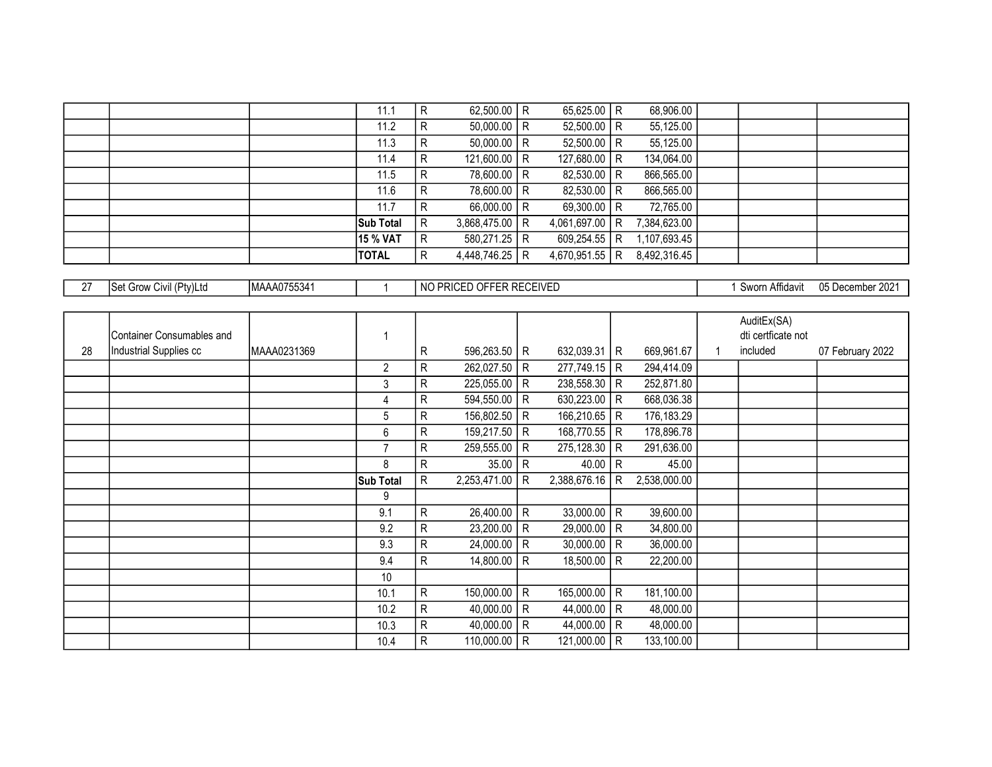|  | 11.1             |   | 62,500.00   R  | 65,625.00   R    | 68,906.00    |  |  |
|--|------------------|---|----------------|------------------|--------------|--|--|
|  | 11.2             | R | $50,000.00$ R  | $52,500.00$ R    | 55,125.00    |  |  |
|  | 11.3             | R | $50,000.00$ R  | $52,500.00$ R    | 55,125.00    |  |  |
|  | 11.4             | R | 121,600.00   R | 127,680.00 R     | 134,064.00   |  |  |
|  | 11.5             | R | 78,600.00 R    | 82,530.00 R      | 866,565.00   |  |  |
|  | 11.6             | R | 78,600.00 R    | 82,530.00 R      | 866,565.00   |  |  |
|  | 11.7             | R | 66,000.00   R  | 69,300.00   R    | 72,765.00    |  |  |
|  | <b>Sub Total</b> | R | 3,868,475.00 R | 4,061,697.00 R   | 7,384,623.00 |  |  |
|  | 15 % VAT         | R | 580,271.25 R   | 609,254.55   R   | 1,107,693.45 |  |  |
|  | <b>TOTAL</b>     | R | 4,448,746.25 R | 4,670,951.55   R | 8,492,316.45 |  |  |

| $\sim$ | tv)l tr<br>ISet.<br>"<br><b>UW</b><br>vıv | <b>IMAAA</b><br>. <i>. .</i><br>AUTOOO4 |  | १ RECEIVED<br>------<br><b></b><br>$\sim$ 100<br>- RRI<br>ำพ∪<br>-NIU.<br>. | $\overline{a}$<br>^†fidavit<br>Swor | 0.004<br>በ5  <br>، Iaramhar<br>7 ZUZ<br><u>u.,</u><br>. |
|--------|-------------------------------------------|-----------------------------------------|--|-----------------------------------------------------------------------------|-------------------------------------|---------------------------------------------------------|
|--------|-------------------------------------------|-----------------------------------------|--|-----------------------------------------------------------------------------|-------------------------------------|---------------------------------------------------------|

|    |                           |             |                  |              |              |              |                |              |              |   | AuditEx(SA)        |                  |
|----|---------------------------|-------------|------------------|--------------|--------------|--------------|----------------|--------------|--------------|---|--------------------|------------------|
|    | Container Consumables and |             | 1                |              |              |              |                |              |              |   | dti certficate not |                  |
| 28 | Industrial Supplies cc    | MAAA0231369 |                  | R            | 596,263.50   | R            | 632,039.31   R |              | 669,961.67   | 1 | included           | 07 February 2022 |
|    |                           |             | 2                | R            | 262,027.50   | R            | 277,749.15     | R            | 294,414.09   |   |                    |                  |
|    |                           |             | 3                | R            | 225,055.00   | $\mathsf{R}$ | 238,558.30     | $\mathsf{R}$ | 252,871.80   |   |                    |                  |
|    |                           |             | 4                | R            | 594,550.00   | R            | 630,223.00     | R            | 668,036.38   |   |                    |                  |
|    |                           |             | 5                | R            | 156,802.50   | $\mathsf{R}$ | 166,210.65     | $\mathsf{R}$ | 176, 183.29  |   |                    |                  |
|    |                           |             | 6                | R            | 159,217.50   | $\mathsf{R}$ | 168,770.55     | R            | 178,896.78   |   |                    |                  |
|    |                           |             | $\overline{7}$   | R            | 259,555.00   | R            | 275,128.30     | R            | 291,636.00   |   |                    |                  |
|    |                           |             | 8                | R            | 35.00        | R            | 40.00          | R            | 45.00        |   |                    |                  |
|    |                           |             | <b>Sub Total</b> | R            | 2,253,471.00 | R            | 2,388,676.16   | R            | 2,538,000.00 |   |                    |                  |
|    |                           |             | 9                |              |              |              |                |              |              |   |                    |                  |
|    |                           |             | 9.1              | R            | 26,400.00    | R            | 33,000.00      | R            | 39,600.00    |   |                    |                  |
|    |                           |             | 9.2              | $\mathsf{R}$ | 23,200.00    | R            | 29,000.00      | R            | 34,800.00    |   |                    |                  |
|    |                           |             | 9.3              | R            | 24,000.00    | R            | 30,000.00      | R            | 36,000.00    |   |                    |                  |
|    |                           |             | 9.4              | R            | 14,800.00    | $\mathsf{R}$ | 18,500.00      | $\mathsf{R}$ | 22,200.00    |   |                    |                  |
|    |                           |             | 10               |              |              |              |                |              |              |   |                    |                  |
|    |                           |             | 10.1             | R            | 150,000.00   | R            | 165,000.00     | R            | 181,100.00   |   |                    |                  |
|    |                           |             | 10.2             | R            | 40,000.00    | R            | 44,000.00      | R            | 48,000.00    |   |                    |                  |
|    |                           |             | 10.3             | $\mathsf{R}$ | 40,000.00    | R            | 44,000.00      | R            | 48,000.00    |   |                    |                  |
|    |                           |             | 10.4             | R            | 110,000.00   | R            | 121,000.00     | R            | 133,100.00   |   |                    |                  |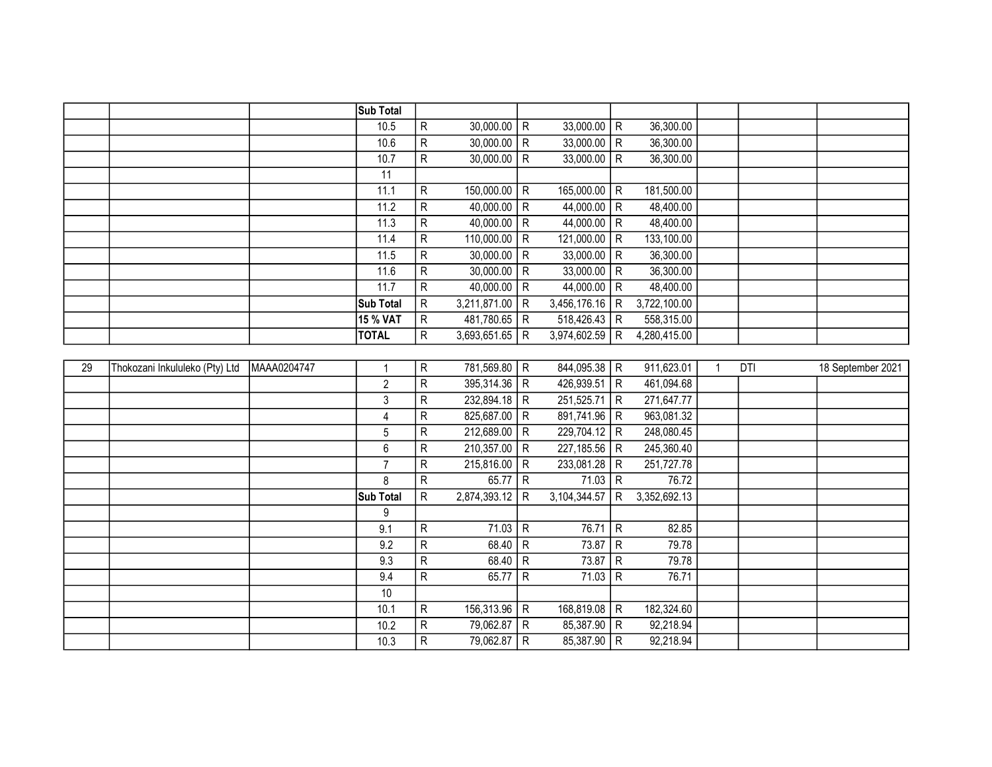|    |                                |             | <b>Sub Total</b> |                         |                      |                |              |                |              |              |     |                   |
|----|--------------------------------|-------------|------------------|-------------------------|----------------------|----------------|--------------|----------------|--------------|--------------|-----|-------------------|
|    |                                |             | 10.5             | ${\sf R}$               | $30,000.00$ R        |                | 33,000.00    | R              | 36,300.00    |              |     |                   |
|    |                                |             | 10.6             | ${\sf R}$               | $30,000.00$ R        |                | 33,000.00    | R              | 36,300.00    |              |     |                   |
|    |                                |             | 10.7             | $\overline{\mathsf{R}}$ | 30,000.00            | R              | 33,000.00    | $\mathsf{R}$   | 36,300.00    |              |     |                   |
|    |                                |             | 11               |                         |                      |                |              |                |              |              |     |                   |
|    |                                |             | 11.1             | ${\sf R}$               | $150,000.00$ R       |                | 165,000.00   | R              | 181,500.00   |              |     |                   |
|    |                                |             | 11.2             | ${\sf R}$               | 40,000.00            | $\overline{R}$ | 44,000.00    | $\mathsf{R}$   | 48,400.00    |              |     |                   |
|    |                                |             | 11.3             | $\overline{R}$          | $40,000.00$ R        |                | 44,000.00    | R              | 48,400.00    |              |     |                   |
|    |                                |             | 11.4             | $\overline{R}$          | 110,000.00           | $\overline{R}$ | 121,000.00   | R              | 133,100.00   |              |     |                   |
|    |                                |             | 11.5             | $\overline{R}$          | 30,000.00            | R              | 33,000.00    | R              | 36,300.00    |              |     |                   |
|    |                                |             | 11.6             | ${\sf R}$               | 30,000.00            | R              | 33,000.00    | R              | 36,300.00    |              |     |                   |
|    |                                |             | 11.7             | ${\sf R}$               | 40,000.00            | l R            | 44,000.00    | R              | 48,400.00    |              |     |                   |
|    |                                |             | <b>Sub Total</b> | ${\sf R}$               | $3,211,871.00$ R     |                | 3,456,176.16 | $\overline{R}$ | 3,722,100.00 |              |     |                   |
|    |                                |             | 15 % VAT         | $\overline{R}$          | 481,780.65           | $\overline{R}$ | 518,426.43   | $\overline{R}$ | 558,315.00   |              |     |                   |
|    |                                |             | <b>TOTAL</b>     | R                       | 3,693,651.65         | $\mathsf{R}$   | 3,974,602.59 | $\mathsf{R}$   | 4,280,415.00 |              |     |                   |
|    |                                |             |                  |                         |                      |                |              |                |              |              |     |                   |
| 29 | Thokozani Inkululeko (Pty) Ltd | MAAA0204747 | $\mathbf{1}$     | R                       | 781,569.80 R         |                | 844,095.38   | R              | 911,623.01   | $\mathbf{1}$ | DTI | 18 September 2021 |
|    |                                |             | $\overline{2}$   | $\overline{\mathsf{R}}$ | 395,314.36           | $\overline{R}$ | 426,939.51   | l R            | 461,094.68   |              |     |                   |
|    |                                |             | $\mathbf{3}$     | ${\sf R}$               | 232,894.18           | $\vert R$      | 251,525.71   | R              | 271,647.77   |              |     |                   |
|    |                                |             | $\overline{4}$   | ${\sf R}$               | 825,687.00           | R              | 891,741.96   | R              | 963,081.32   |              |     |                   |
|    |                                |             | 5                | $\overline{R}$          | 212,689.00           | $\overline{R}$ | 229,704.12 R |                | 248,080.45   |              |     |                   |
|    |                                |             | $6\phantom{a}$   | ${\sf R}$               | 210,357.00           | $\vert R$      | 227, 185.56  | R              | 245,360.40   |              |     |                   |
|    |                                |             | $\overline{7}$   | ${\sf R}$               | $215,816.00$ R       |                | 233,081.28   | R              | 251,727.78   |              |     |                   |
|    |                                |             | 8                | $\mathsf R$             | $\overline{65.77}$ R |                | 71.03        | R              | 76.72        |              |     |                   |
|    |                                |             | <b>Sub Total</b> | $\overline{\mathsf{R}}$ | 2,874,393.12         | $\mathsf{R}$   | 3,104,344.57 | R              | 3,352,692.13 |              |     |                   |
|    |                                |             | 9                |                         |                      |                |              |                |              |              |     |                   |
|    |                                |             | 9.1              | ${\sf R}$               | $71.03$ R            |                | 76.71        | $\overline{R}$ | 82.85        |              |     |                   |
|    |                                |             | 9.2              | ${\sf R}$               | $68.40$ R            |                | 73.87        | $\mathsf{R}$   | 79.78        |              |     |                   |
|    |                                |             | 9.3              | $\overline{R}$          | $68.40$ R            |                | 73.87        | $\mathsf{R}$   | 79.78        |              |     |                   |
|    |                                |             | 9.4              | $\overline{R}$          | 65.77                | $\overline{R}$ | 71.03        | $\overline{R}$ | 76.71        |              |     |                   |
|    |                                |             | 10               |                         |                      |                |              |                |              |              |     |                   |
|    |                                |             | 10.1             | ${\sf R}$               | 156,313.96           | $\vert R$      | 168,819.08   | l R            | 182,324.60   |              |     |                   |
|    |                                |             | 10.2             | ${\sf R}$               | 79,062.87            | R              | 85,387.90    | $\mathsf{R}$   | 92,218.94    |              |     |                   |
|    |                                |             | 10.3             | $\overline{R}$          | 79,062.87 R          |                | 85,387.90    | $\overline{R}$ | 92,218.94    |              |     |                   |
|    |                                |             |                  |                         |                      |                |              |                |              |              |     |                   |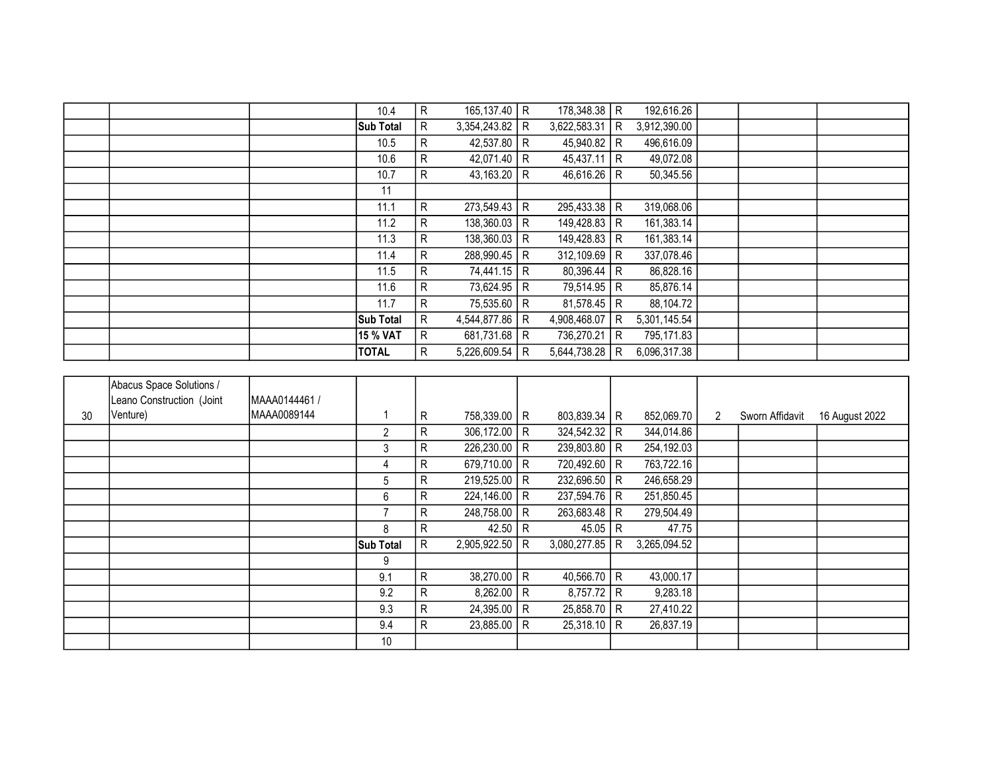|  | 10.4     | $\mathsf{R}$                         |              |     |                                                                                                                                                                                                                     |     | 192,616.26                                                                                                                                                                                                                         |  |  |
|--|----------|--------------------------------------|--------------|-----|---------------------------------------------------------------------------------------------------------------------------------------------------------------------------------------------------------------------|-----|------------------------------------------------------------------------------------------------------------------------------------------------------------------------------------------------------------------------------------|--|--|
|  |          | $\mathsf{R}$                         |              | R   |                                                                                                                                                                                                                     | R   | 3,912,390.00                                                                                                                                                                                                                       |  |  |
|  | 10.5     | $\mathsf{R}$                         |              | l R |                                                                                                                                                                                                                     |     | 496,616.09                                                                                                                                                                                                                         |  |  |
|  | 10.6     | $\mathsf{R}$                         |              |     |                                                                                                                                                                                                                     |     | 49,072.08                                                                                                                                                                                                                          |  |  |
|  | 10.7     | R.                                   |              | R   |                                                                                                                                                                                                                     | l R | 50,345.56                                                                                                                                                                                                                          |  |  |
|  | 11       |                                      |              |     |                                                                                                                                                                                                                     |     |                                                                                                                                                                                                                                    |  |  |
|  | 11.1     | $\mathsf{R}$                         |              |     |                                                                                                                                                                                                                     |     | 319,068.06                                                                                                                                                                                                                         |  |  |
|  | 11.2     | R.                                   |              | R   |                                                                                                                                                                                                                     | l R | 161,383.14                                                                                                                                                                                                                         |  |  |
|  | 11.3     | $\mathsf{R}$                         |              |     |                                                                                                                                                                                                                     |     | 161,383.14                                                                                                                                                                                                                         |  |  |
|  | 11.4     | $\mathsf{R}$                         |              |     |                                                                                                                                                                                                                     | R   | 337,078.46                                                                                                                                                                                                                         |  |  |
|  | 11.5     | $\mathsf{R}$                         |              | R   |                                                                                                                                                                                                                     | l R | 86,828.16                                                                                                                                                                                                                          |  |  |
|  | 11.6     | R                                    |              | R   |                                                                                                                                                                                                                     |     | 85,876.14                                                                                                                                                                                                                          |  |  |
|  | 11.7     | $\mathsf{R}$                         |              | R   |                                                                                                                                                                                                                     |     | 88,104.72                                                                                                                                                                                                                          |  |  |
|  |          | R                                    | 4,544,877.86 | R   |                                                                                                                                                                                                                     | R   | 5,301,145.54                                                                                                                                                                                                                       |  |  |
|  | 15 % VAT | R.                                   |              | R   |                                                                                                                                                                                                                     | l R | 795,171.83                                                                                                                                                                                                                         |  |  |
|  | TOTAL    | $\mathsf{R}$                         |              | R   |                                                                                                                                                                                                                     | R   | 6,096,317.38                                                                                                                                                                                                                       |  |  |
|  |          | <b>Sub Total</b><br><b>Sub Total</b> |              |     | $165, 137.40$ R<br>3,354,243.82<br>42,537.80<br>42,071.40   R<br>43,163.20<br>$273,549.43$ R<br>138,360.03<br>$138,360.03$ R<br>288,990.45   R<br>74,441.15<br>73,624.95<br>75,535.60<br>681,731.68<br>5,226,609.54 |     | 178,348.38 R<br>3,622,583.31<br>45,940.82   R<br>$45,437.11$ R<br>46,616.26<br>295,433.38 R<br>149,428.83<br>149,428.83 R<br>312,109.69<br>80,396.44<br>79,514.95 R<br>$81,578.45$ R<br>4,908,468.07<br>736,270.21<br>5,644,738.28 |  |  |

|    | Abacus Space Solutions /  |               |                  |    |                |                |   |              |                      |                 |                |
|----|---------------------------|---------------|------------------|----|----------------|----------------|---|--------------|----------------------|-----------------|----------------|
|    | Leano Construction (Joint | MAAA0144461 / |                  |    |                |                |   |              |                      |                 |                |
| 30 | Venture)                  | MAAA0089144   |                  | R  | 758,339.00 R   | 803,839.34   R |   | 852,069.70   | $\mathbf{2}^{\circ}$ | Sworn Affidavit | 16 August 2022 |
|    |                           |               | $\overline{2}$   | R. | $306,172.00$ R | $324,542.32$ R |   | 344,014.86   |                      |                 |                |
|    |                           |               | 3                | R. | 226,230.00 R   | 239,803.80 R   |   | 254,192.03   |                      |                 |                |
|    |                           |               | 4                | R  | 679,710.00   R | 720,492.60 R   |   | 763,722.16   |                      |                 |                |
|    |                           |               | 5                | R. | $219,525.00$ R | 232,696.50 R   |   | 246,658.29   |                      |                 |                |
|    |                           |               | 6                | R. | $224,146.00$ R | 237,594.76 R   |   | 251,850.45   |                      |                 |                |
|    |                           |               | $\overline{7}$   | R. | 248,758.00 R   | 263,683.48   R |   | 279,504.49   |                      |                 |                |
|    |                           |               | 8                | R  | 42.50 R        | 45.05   R      |   | 47.75        |                      |                 |                |
|    |                           |               | <b>Sub Total</b> | R  | 2,905,922.50 R | 3,080,277.85   | R | 3,265,094.52 |                      |                 |                |
|    |                           |               | 9                |    |                |                |   |              |                      |                 |                |
|    |                           |               | 9.1              | R  | $38,270.00$ R  | 40,566.70   R  |   | 43,000.17    |                      |                 |                |
|    |                           |               | 9.2              | R  | $8,262.00$ R   | $8,757.72$ R   |   | 9,283.18     |                      |                 |                |
|    |                           |               | 9.3              | R. | $24,395.00$ R  | 25,858.70 R    |   | 27,410.22    |                      |                 |                |
|    |                           |               | 9.4              | R  | $23,885.00$ R  | $25,318.10$ R  |   | 26,837.19    |                      |                 |                |
|    |                           |               | $10$             |    |                |                |   |              |                      |                 |                |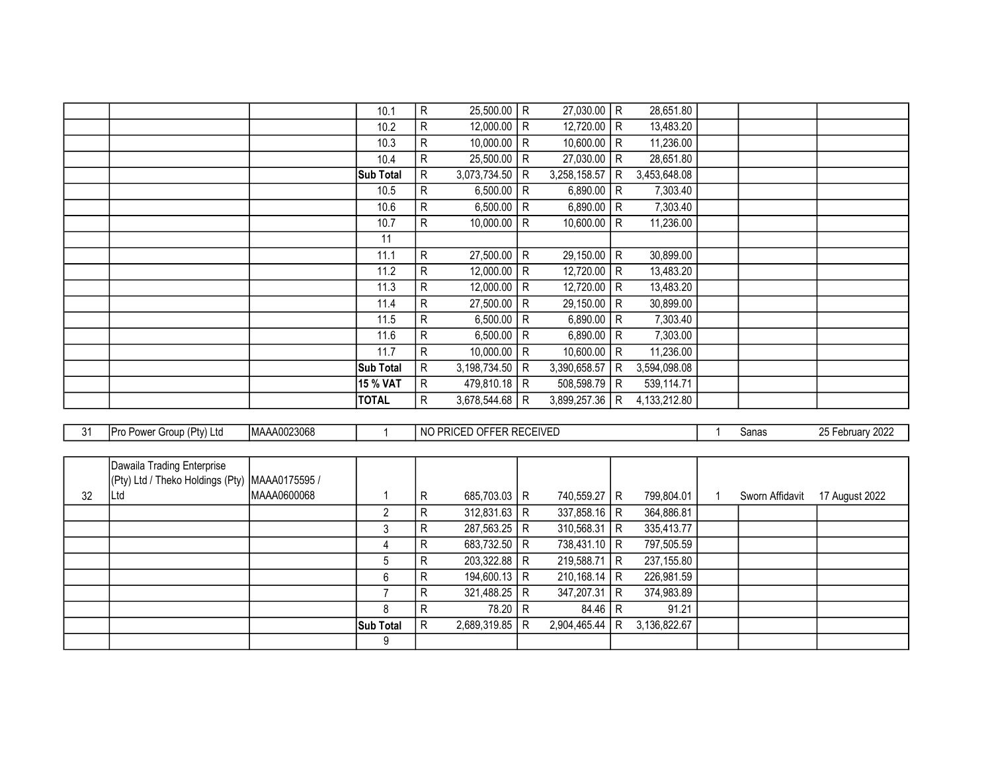|  | 10.1             | R            | 25,500.00    | R  | $27,030.00$ R  |                | 28,651.80    |  |  |
|--|------------------|--------------|--------------|----|----------------|----------------|--------------|--|--|
|  | 10.2             | R            | 12,000.00    | R. | 12,720.00   R  |                | 13,483.20    |  |  |
|  | 10.3             | R            | 10,000.00    | R  | 10,600.00      | R              | 11,236.00    |  |  |
|  | 10.4             | R            | 25,500.00    | R  | 27,030.00      | R              | 28,651.80    |  |  |
|  | <b>Sub Total</b> | R            | 3,073,734.50 | R  | 3,258,158.57   | R              | 3,453,648.08 |  |  |
|  | 10.5             | R            | 6,500.00     | R. | 6,890.00       | R              | 7,303.40     |  |  |
|  | 10.6             | R            | 6,500.00     | R  | 6,890.00       | R              | 7,303.40     |  |  |
|  | 10.7             | R            | 10,000.00    | R  | 10,600.00      | R              | 11,236.00    |  |  |
|  | 11               |              |              |    |                |                |              |  |  |
|  | 11.1             | R            | 27,500.00    | R  | 29,150.00      | R              | 30,899.00    |  |  |
|  | 11.2             | R            | 12,000.00    | R  | 12,720.00      | $\overline{R}$ | 13,483.20    |  |  |
|  | 11.3             | $\mathsf{R}$ | 12,000.00    | R  | 12,720.00      | R              | 13,483.20    |  |  |
|  | 11.4             | R            | 27,500.00    | R  | 29,150.00      | R              | 30,899.00    |  |  |
|  | 11.5             | R            | 6,500.00     | R  | 6,890.00   R   |                | 7,303.40     |  |  |
|  | 11.6             | R            | 6,500.00     | R  | 6,890.00       | R              | 7,303.00     |  |  |
|  | 11.7             | $\mathsf{R}$ | 10,000.00    | R  | 10,600.00      | R              | 11,236.00    |  |  |
|  | <b>Sub Total</b> | R            | 3,198,734.50 | R. | 3,390,658.57   | R              | 3,594,098.08 |  |  |
|  | <b>15 % VAT</b>  | $\mathsf{R}$ | 479,810.18 R |    | $508,598.79$ R |                | 539,114.71   |  |  |
|  | <b>TOTAL</b>     | R            | 3,678,544.68 | R  | 3,899,257.36   | R              | 4,133,212.80 |  |  |
|  |                  |              |              |    |                |                |              |  |  |

| 31 | Pro Power Group (Pty) Ltd                        | MAAA0023068 |                  |    | NO PRICED OFFER RECEIVED |     |                |     |              | Sanas           | 25 February 2022 |
|----|--------------------------------------------------|-------------|------------------|----|--------------------------|-----|----------------|-----|--------------|-----------------|------------------|
|    |                                                  |             |                  |    |                          |     |                |     |              |                 |                  |
|    | Dawaila Trading Enterprise                       |             |                  |    |                          |     |                |     |              |                 |                  |
|    | (Pty) Ltd / Theko Holdings (Pty)   MAAA0175595 / |             |                  |    |                          |     |                |     |              |                 |                  |
| 32 | ∣Ltd                                             | MAAA0600068 |                  | R  | $685,703.03$ R           |     | 740,559.27   R |     | 799,804.01   | Sworn Affidavit | 17 August 2022   |
|    |                                                  |             | $\overline{2}$   | R. | $312,831.63$ R           |     | 337,858.16   R |     | 364,886.81   |                 |                  |
|    |                                                  |             | 3                | R. | 287,563.25               | R   | $310,568.31$ R |     | 335,413.77   |                 |                  |
|    |                                                  |             | 4                | R. | 683,732.50 R             |     | 738,431.10   R |     | 797,505.59   |                 |                  |
|    |                                                  |             | 5                | R. | 203,322.88               | ÈR. | 219,588.71 R   |     | 237,155.80   |                 |                  |
|    |                                                  |             | 6                | R. | $194,600.13$ R           |     | $210,168.14$ R |     | 226,981.59   |                 |                  |
|    |                                                  |             |                  | R  | 321,488.25               | R   | 347,207.31     | I R | 374,983.89   |                 |                  |
|    |                                                  |             | 8                | R  | 78.20                    | R   | $84.46$ R      |     | 91.21        |                 |                  |
|    |                                                  |             | <b>Sub Total</b> | R  | 2,689,319.85             | R   | 2,904,465.44   | R   | 3,136,822.67 |                 |                  |
|    |                                                  |             | 9                |    |                          |     |                |     |              |                 |                  |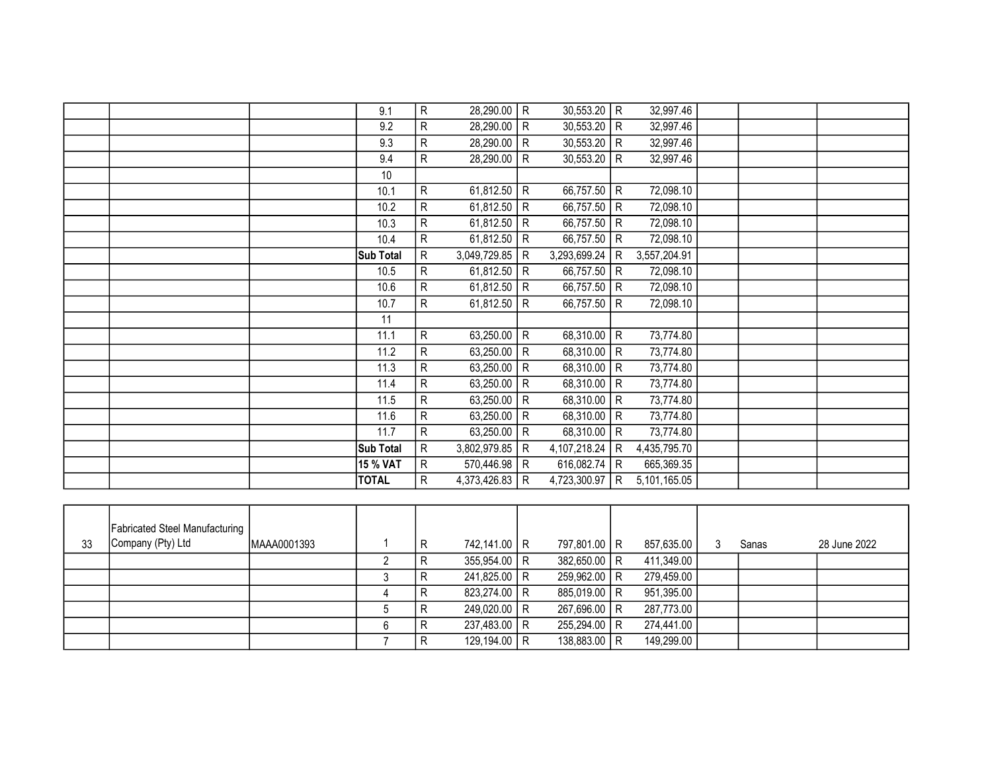|  | 9.1              | R | 28,290.00    | $\mathsf{R}$ | 30,553.20     | $\mathsf{R}$   | 32,997.46    |  |  |
|--|------------------|---|--------------|--------------|---------------|----------------|--------------|--|--|
|  | 9.2              | R | 28,290.00    | ${\sf R}$    | 30,553.20     | R              | 32,997.46    |  |  |
|  | 9.3              | R | 28,290.00    | $\mathsf{R}$ | 30,553.20     | R              | 32,997.46    |  |  |
|  | 9.4              | R | 28,290.00    | R            | 30,553.20     | R              | 32,997.46    |  |  |
|  | 10               |   |              |              |               |                |              |  |  |
|  | 10.1             | R | 61,812.50    | R            | 66,757.50     | R              | 72,098.10    |  |  |
|  | 10.2             | R | 61,812.50    | $\mathsf{R}$ | 66,757.50     | R              | 72,098.10    |  |  |
|  | 10.3             | R | 61,812.50    | $\mathsf{R}$ | 66,757.50     | R              | 72,098.10    |  |  |
|  | 10.4             | R | 61,812.50    | $\mathsf{R}$ | 66,757.50     | R              | 72,098.10    |  |  |
|  | Sub Total        | R | 3,049,729.85 | R            | 3,293,699.24  | l R            | 3,557,204.91 |  |  |
|  | 10.5             | R | 61,812.50    | $\mathsf{R}$ | 66,757.50     | R              | 72,098.10    |  |  |
|  | 10.6             | R | 61,812.50    | $\mathsf{R}$ | 66,757.50     | $\overline{R}$ | 72,098.10    |  |  |
|  | 10.7             | R | 61,812.50    | $\mathsf{R}$ | 66,757.50     | R <sup></sup>  | 72,098.10    |  |  |
|  | 11               |   |              |              |               |                |              |  |  |
|  | 11.1             | R | 63,250.00    | ${\sf R}$    | 68,310.00   R |                | 73,774.80    |  |  |
|  | 11.2             | R | 63,250.00    | $\mathsf{R}$ | 68,310.00   R |                | 73,774.80    |  |  |
|  | 11.3             | R | 63,250.00    | $\mathsf{R}$ | 68,310.00     | l R            | 73,774.80    |  |  |
|  | 11.4             | R | 63,250.00    | $\mathsf{R}$ | 68,310.00     | R              | 73,774.80    |  |  |
|  | 11.5             | R | 63,250.00    | $\mathsf{R}$ | 68,310.00     | $\overline{R}$ | 73,774.80    |  |  |
|  | 11.6             | R | 63,250.00    | ${\sf R}$    | 68,310.00     | R              | 73,774.80    |  |  |
|  | 11.7             | R | 63,250.00    | R            | 68,310.00     | $\overline{R}$ | 73,774.80    |  |  |
|  | <b>Sub Total</b> | R | 3,802,979.85 | R            | 4,107,218.24  | $\mathsf{R}$   | 4,435,795.70 |  |  |
|  | <b>15 % VAT</b>  | R | 570,446.98   | R            | 616,082.74    | $\mathsf{R}$   | 665,369.35   |  |  |
|  | <b>TOTAL</b>     | R | 4,373,426.83 | R            | 4,723,300.97  | R              | 5,101,165.05 |  |  |
|  |                  |   |              |              |               |                |              |  |  |

|    | <b>Fabricated Steel Manufacturing</b><br>Company (Pty) Ltd | MAAA0001393 |   | R | 742,141.00 R   | 797,801.00 R |            |       | 28 June 2022 |
|----|------------------------------------------------------------|-------------|---|---|----------------|--------------|------------|-------|--------------|
| 33 |                                                            |             |   |   |                |              | 857,635.00 | Sanas |              |
|    |                                                            |             |   | R | $355,954.00$ R | 382,650.00 R | 411,349.00 |       |              |
|    |                                                            |             |   |   | 241,825.00 R   | 259,962.00 R | 279,459.00 |       |              |
|    |                                                            |             |   |   | 823,274.00 R   | 885,019.00 R | 951,395.00 |       |              |
|    |                                                            |             |   |   | 249,020.00 R   | 267,696.00 R | 287,773.00 |       |              |
|    |                                                            |             | b |   | 237,483.00 R   | 255,294.00 R | 274,441.00 |       |              |
|    |                                                            |             |   | R | 129,194.00 R   | 138,883.00 R | 149,299.00 |       |              |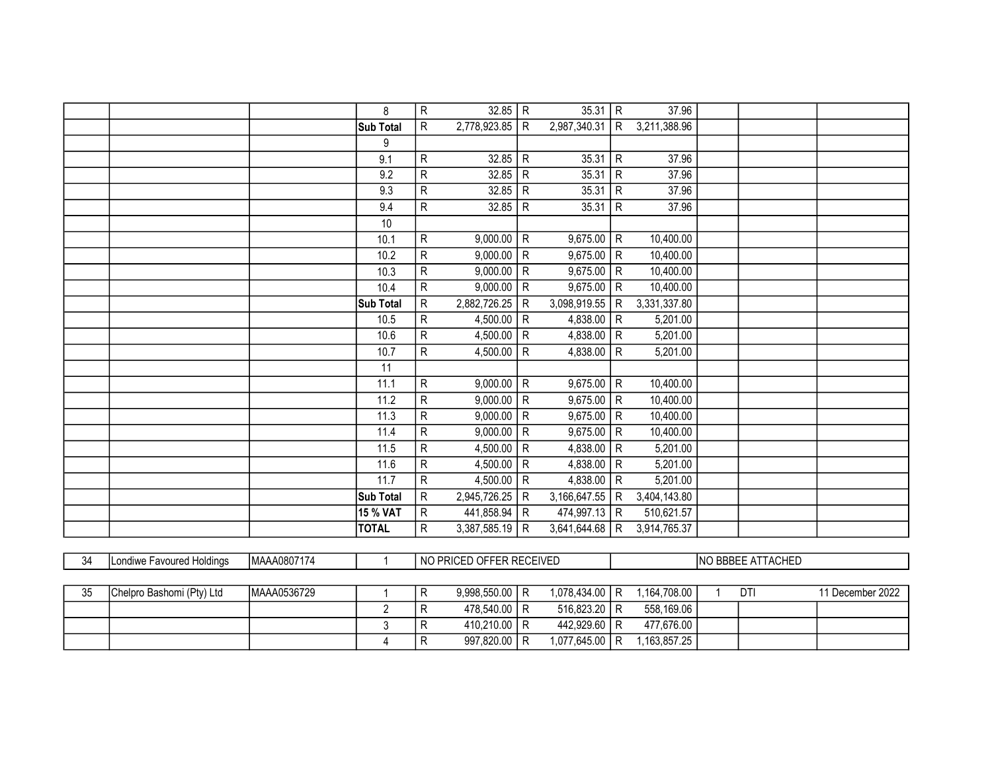|  | 8               | ${\sf R}$      | 32.85        | $\mathsf{R}$   | 35.31        | $\overline{R}$ | 37.96        |  |  |
|--|-----------------|----------------|--------------|----------------|--------------|----------------|--------------|--|--|
|  | Sub Total       | R              | 2,778,923.85 | $\mathsf{R}$   | 2,987,340.31 | R              | 3,211,388.96 |  |  |
|  | 9               |                |              |                |              |                |              |  |  |
|  | 9.1             | ${\sf R}$      | 32.85        | ${\sf R}$      | 35.31        | $\mathsf{R}$   | 37.96        |  |  |
|  | 9.2             | $\overline{R}$ | 32.85        | ${\sf R}$      | 35.31        | $\mathsf{R}$   | 37.96        |  |  |
|  | 9.3             | ${\sf R}$      | 32.85        | ${\sf R}$      | 35.31        | $\mathsf{R}$   | 37.96        |  |  |
|  | 9.4             | ${\sf R}$      | 32.85        | ${\sf R}$      | 35.31        | $\mathsf{R}$   | 37.96        |  |  |
|  | 10              |                |              |                |              |                |              |  |  |
|  | 10.1            | ${\sf R}$      | 9,000.00     | ${\sf R}$      | 9,675.00     | $\mathsf{R}$   | 10,400.00    |  |  |
|  | 10.2            | ${\sf R}$      | 9,000.00     | ${\sf R}$      | 9,675.00     | $\mathsf{R}$   | 10,400.00    |  |  |
|  | 10.3            | ${\sf R}$      | 9,000.00     | $\mathsf{R}$   | 9,675.00     | $\mathsf{R}$   | 10,400.00    |  |  |
|  | 10.4            | ${\sf R}$      | 9,000.00     | ${\sf R}$      | 9,675.00     | $\mathsf{R}$   | 10,400.00    |  |  |
|  | Sub Total       | $\mathsf{R}$   | 2,882,726.25 | $\mathsf{R}$   | 3,098,919.55 | $\mathsf{R}$   | 3,331,337.80 |  |  |
|  | 10.5            | ${\sf R}$      | 4,500.00     | $\mathsf{R}$   | 4,838.00     | R              | 5,201.00     |  |  |
|  | 10.6            | ${\sf R}$      | 4,500.00     | $\mathsf{R}$   | 4,838.00     | $\mathsf{R}$   | 5,201.00     |  |  |
|  | 10.7            | ${\sf R}$      | 4,500.00     | ${\sf R}$      | 4,838.00     | $\mathsf{R}$   | 5,201.00     |  |  |
|  | 11              |                |              |                |              |                |              |  |  |
|  | 11.1            | $\mathsf{R}$   | 9,000.00     | $\mathsf{R}$   | 9,675.00     | $\mathsf{R}$   | 10,400.00    |  |  |
|  | 11.2            | $\overline{R}$ | 9,000.00     | $\overline{R}$ | 9,675.00     | $\mathsf{R}$   | 10,400.00    |  |  |
|  | 11.3            | ${\sf R}$      | 9,000.00     | ${\sf R}$      | 9,675.00     | $\mathsf{R}$   | 10,400.00    |  |  |
|  | 11.4            | ${\sf R}$      | 9,000.00     | $\mathsf{R}$   | 9,675.00     | $\mathsf{R}$   | 10,400.00    |  |  |
|  | 11.5            | $\overline{R}$ | 4,500.00     | ${\sf R}$      | 4,838.00     | $\mathsf{R}$   | 5,201.00     |  |  |
|  | 11.6            | ${\sf R}$      | 4,500.00     | $\mathsf{R}$   | 4,838.00     | $\mathsf{R}$   | 5,201.00     |  |  |
|  | 11.7            | ${\sf R}$      | 4,500.00     | R              | 4,838.00     | R              | 5,201.00     |  |  |
|  | Sub Total       | ${\sf R}$      | 2,945,726.25 | R              | 3,166,647.55 | $\mathsf{R}$   | 3,404,143.80 |  |  |
|  | <b>15 % VAT</b> | ${\sf R}$      | 441,858.94   | $\mathsf{R}$   | 474,997.13   | $\mathsf{R}$   | 510,621.57   |  |  |
|  | <b>TOTAL</b>    | R              | 3,387,585.19 | R              | 3,641,644.68 | R              | 3,914,765.37 |  |  |
|  |                 |                |              |                |              |                |              |  |  |

| 34 | Londiwe Favoured Holdings | MAAA0807174  | l NO PRICED OFFER RECEIVED |                |  | INO BBBEE ATTACHED       |  |              |  |    |                  |
|----|---------------------------|--------------|----------------------------|----------------|--|--------------------------|--|--------------|--|----|------------------|
|    |                           |              |                            |                |  |                          |  |              |  |    |                  |
| 35 | Chelpro Bashomi (Pty) Ltd | IMAAA0536729 |                            | 9.998.550.00 R |  | $1.078.434.00 \text{ R}$ |  | 1.164.708.00 |  | DT | 11 December 2022 |
|    |                           |              |                            | 478.540.00 R   |  | 516.823.20 R             |  | 558.169.06   |  |    |                  |
|    |                           |              |                            | 410.210.00 R   |  | 442.929.60 R             |  | 477.676.00   |  |    |                  |

4 R 997,820.00 R 1,077,645.00 R 1,163,857.25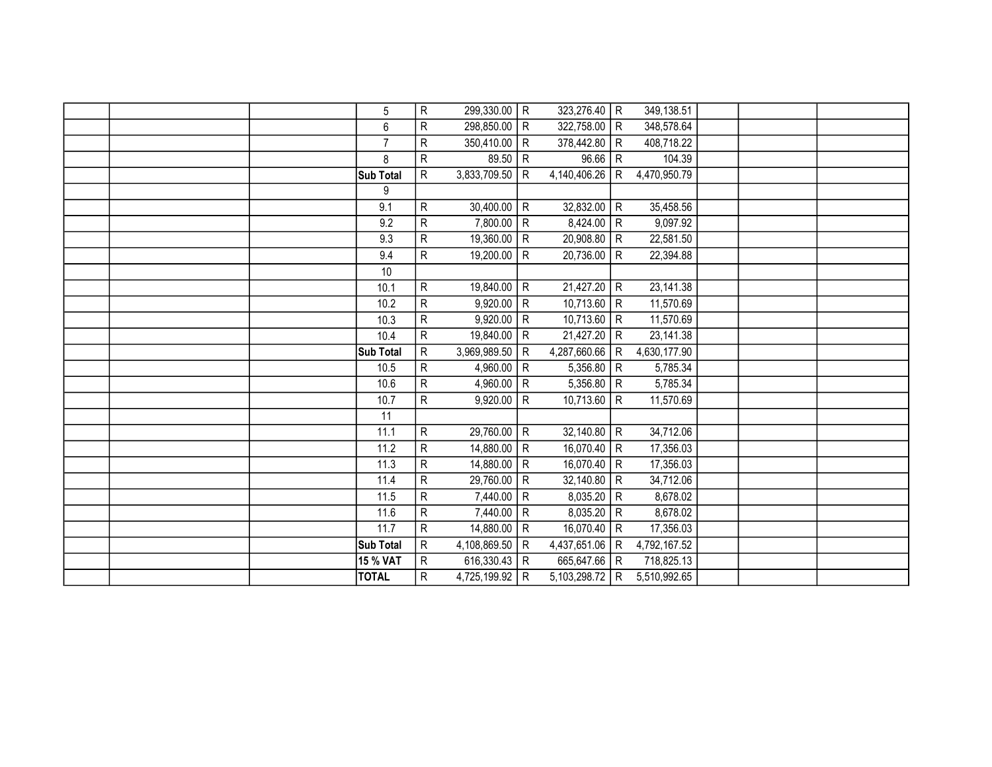|  | 5               | R                       | 299,330.00   | $\mathsf{R}$   | 323,276.40   R |                | 349,138.51   |  |  |
|--|-----------------|-------------------------|--------------|----------------|----------------|----------------|--------------|--|--|
|  | 6               | ${\sf R}$               | 298,850.00   | $\mathsf{R}$   | 322,758.00 R   |                | 348,578.64   |  |  |
|  | $\overline{7}$  | R                       | 350,410.00   | $\mathsf{R}$   | 378,442.80     | R              | 408,718.22   |  |  |
|  | 8               | R                       | 89.50        | $\mathsf{R}$   | 96.66   R      |                | 104.39       |  |  |
|  | Sub Total       | R                       | 3,833,709.50 | ${\sf R}$      | 4,140,406.26   | l R            | 4,470,950.79 |  |  |
|  | 9               |                         |              |                |                |                |              |  |  |
|  | 9.1             | R                       | 30,400.00    | $\mathsf{R}$   | 32,832.00      | R              | 35,458.56    |  |  |
|  | 9.2             | $\overline{\mathsf{R}}$ | 7,800.00     | $\mathsf{R}$   | 8,424.00       | R              | 9,097.92     |  |  |
|  | 9.3             | R                       | 19,360.00    | $\mathsf{R}$   | 20,908.80      | R              | 22,581.50    |  |  |
|  | 9.4             | R                       | 19,200.00    | ${\sf R}$      | 20,736.00      | $\mathsf{R}$   | 22,394.88    |  |  |
|  | 10              |                         |              |                |                |                |              |  |  |
|  | 10.1            | ${\sf R}$               | 19,840.00    | ${\sf R}$      | 21,427.20      | $\overline{R}$ | 23,141.38    |  |  |
|  | 10.2            | ${\sf R}$               | 9,920.00     | $\mathsf{R}$   | 10,713.60      | $\overline{R}$ | 11,570.69    |  |  |
|  | 10.3            | ${\sf R}$               | 9,920.00     | $\mathsf{R}$   | 10,713.60      | $\overline{R}$ | 11,570.69    |  |  |
|  | 10.4            | R                       | 19,840.00    | $\mathsf{R}$   | 21,427.20      | R <sup></sup>  | 23,141.38    |  |  |
|  | Sub Total       | R                       | 3,969,989.50 | ${\sf R}$      | 4,287,660.66   | $\overline{R}$ | 4,630,177.90 |  |  |
|  | 10.5            | R                       | 4,960.00     | $\mathsf{R}$   | 5,356.80       | R              | 5,785.34     |  |  |
|  | 10.6            | $\overline{R}$          | 4,960.00     | $\overline{R}$ | 5,356.80       | $\overline{R}$ | 5,785.34     |  |  |
|  | 10.7            | R                       | 9,920.00     | $\mathsf{R}$   | 10,713.60      | R              | 11,570.69    |  |  |
|  | 11              |                         |              |                |                |                |              |  |  |
|  | 11.1            | $\overline{\mathsf{R}}$ | 29,760.00    | ${\sf R}$      | 32,140.80      | $\overline{R}$ | 34,712.06    |  |  |
|  | 11.2            | R                       | 14,880.00    | $\mathsf{R}$   | 16,070.40 R    |                | 17,356.03    |  |  |
|  | 11.3            | ${\sf R}$               | 14,880.00    | ${\sf R}$      | 16,070.40      | R              | 17,356.03    |  |  |
|  | 11.4            | R                       | 29,760.00    | $\mathsf{R}$   | $32,140.80$ R  |                | 34,712.06    |  |  |
|  | 11.5            | ${\sf R}$               | 7,440.00     | $\mathsf{R}$   | 8,035.20       | R              | 8,678.02     |  |  |
|  | 11.6            | ${\sf R}$               | 7,440.00     | $\mathsf{R}$   | 8,035.20       | $\overline{R}$ | 8,678.02     |  |  |
|  | 11.7            | $\overline{R}$          | 14,880.00    | $\mathsf{R}$   | 16,070.40      | $\overline{R}$ | 17,356.03    |  |  |
|  | Sub Total       | R                       | 4,108,869.50 | R              | 4,437,651.06   | R              | 4,792,167.52 |  |  |
|  | <b>15 % VAT</b> | R                       | 616,330.43   | $\mathsf{R}$   | 665,647.66     | R              | 718,825.13   |  |  |
|  | <b>TOTAL</b>    | R                       | 4,725,199.92 | R              | 5,103,298.72   | l R            | 5,510,992.65 |  |  |
|  |                 |                         |              |                |                |                |              |  |  |